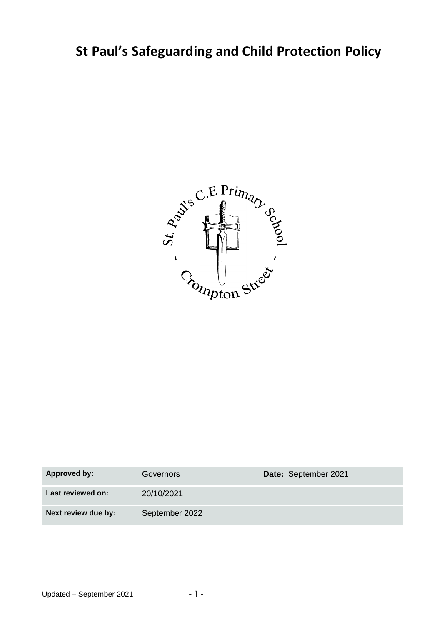# **St Paul's Safeguarding and Child Protection Policy**



| Approved by:        | Governors      | Date: September 2021 |
|---------------------|----------------|----------------------|
| Last reviewed on:   | 20/10/2021     |                      |
| Next review due by: | September 2022 |                      |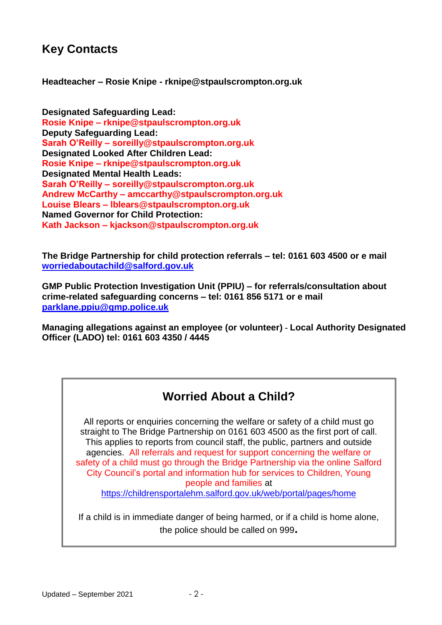## **Key Contacts**

**Headteacher – Rosie Knipe - rknipe@stpaulscrompton.org.uk**

**Designated Safeguarding Lead: Rosie Knipe – rknipe@stpaulscrompton.org.uk Deputy Safeguarding Lead: Sarah O'Reilly – soreilly@stpaulscrompton.org.uk Designated Looked After Children Lead: Rosie Knipe – rknipe@stpaulscrompton.org.uk Designated Mental Health Leads: Sarah O'Reilly – soreilly@stpaulscrompton.org.uk Andrew McCarthy – amccarthy@stpaulscrompton.org.uk Louise Blears – lblears@stpaulscrompton.org.uk Named Governor for Child Protection: Kath Jackson – kjackson@stpaulscrompton.org.uk**

**The Bridge Partnership for child protection referrals – tel: 0161 603 4500 or e mail [worriedaboutachild@salford.gov.uk](mailto:worriedaboutachild@salford.gov.uk)**

**GMP Public Protection Investigation Unit (PPIU) – for referrals/consultation about crime-related safeguarding concerns – tel: 0161 856 5171 or e mail [parklane.ppiu@gmp.police.uk](mailto:parklane.ppiu@gmp.police.uk)**

**Managing allegations against an employee (or volunteer) - Local Authority Designated Officer (LADO) tel: 0161 603 4350 / 4445**

## **Worried About a Child?**

All reports or enquiries concerning the welfare or safety of a child must go straight to The Bridge Partnership on 0161 603 4500 as the first port of call. This applies to reports from council staff, the public, partners and outside agencies. All referrals and request for support concerning the welfare or safety of a child must go through the Bridge Partnership via the online Salford City Council's portal and information hub for services to Children, Young people and families at

<https://childrensportalehm.salford.gov.uk/web/portal/pages/home>

If a child is in immediate danger of being harmed, or if a child is home alone, the police should be called on 999**.**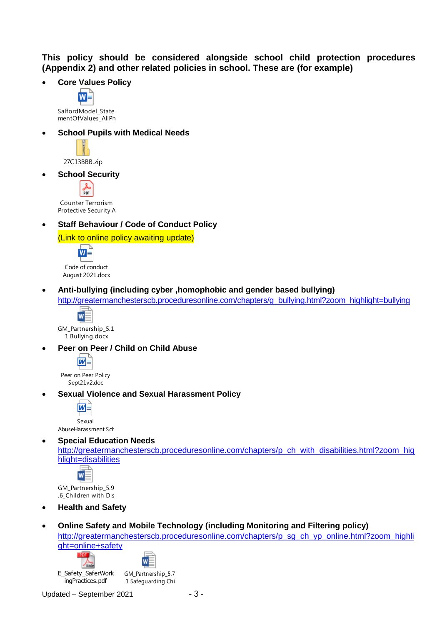**This policy should be considered alongside school child protection procedures (Appendix 2) and other related policies in school. These are (for example)**

• **Core Values Policy**



• **School Pupils with Medical Needs**



27C13BBB.zip

• **School Security**



Counter Terrorism Protective Security A

• **Staff Behaviour / Code of Conduct Policy**

(Link to online policy awaiting update)



Code of conduct August 2021.docx

• **Anti-bullying (including cyber ,homophobic and gender based bullying)**

[http://greatermanchesterscb.proceduresonline.com/chapters/g\\_bullying.html?zoom\\_highlight=bullying](http://greatermanchesterscb.proceduresonline.com/chapters/g_bullying.html?zoom_highlight=bullying)



GM\_Partnership\_5.1 .1 Bullying.docx

• **Peer on Peer / Child on Child Abuse**



Peer on Peer Policy Sept21v2.doc

• **Sexual Violence and Sexual Harassment Policy**



AbuseHarassment Sch

#### • **Special Education Needs**

[http://greatermanchesterscb.proceduresonline.com/chapters/p\\_ch\\_with\\_disabilities.html?zoom\\_hig](http://greatermanchesterscb.proceduresonline.com/chapters/p_ch_with_disabilities.html?zoom_highlight=disabilities) [hlight=disabilities](http://greatermanchesterscb.proceduresonline.com/chapters/p_ch_with_disabilities.html?zoom_highlight=disabilities)



GM Partnership 5.9 .6\_Children with Dis

• **Health and Safety**

• **Online Safety and Mobile Technology (including Monitoring and Filtering policy)**

[http://greatermanchesterscb.proceduresonline.com/chapters/p\\_sg\\_ch\\_yp\\_online.html?zoom\\_highli](http://greatermanchesterscb.proceduresonline.com/chapters/p_sg_ch_yp_online.html?zoom_highlight=online+safety) [ght=online+safety](http://greatermanchesterscb.proceduresonline.com/chapters/p_sg_ch_yp_online.html?zoom_highlight=online+safety)

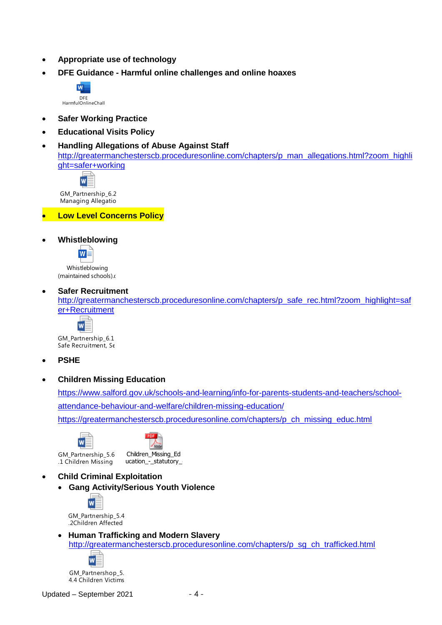- **Appropriate use of technology**
- **DFE Guidance - Harmful online challenges and online hoaxes**



- **Safer Working Practice**
- **Educational Visits Policy**
- **Handling Allegations of Abuse Against Staff** [http://greatermanchesterscb.proceduresonline.com/chapters/p\\_man\\_allegations.html?zoom\\_highli](http://greatermanchesterscb.proceduresonline.com/chapters/p_man_allegations.html?zoom_highlight=safer+working) [ght=safer+working](http://greatermanchesterscb.proceduresonline.com/chapters/p_man_allegations.html?zoom_highlight=safer+working)



Managing Allegatio

• **Low Level Concerns Policy**

#### • **Whistleblowing**



 Whistleblowing (maintained schools). $d$ 

#### • **Safer Recruitment**

[http://greatermanchesterscb.proceduresonline.com/chapters/p\\_safe\\_rec.html?zoom\\_highlight=saf](http://greatermanchesterscb.proceduresonline.com/chapters/p_safe_rec.html?zoom_highlight=safer+Recruitment) [er+Recruitment](http://greatermanchesterscb.proceduresonline.com/chapters/p_safe_rec.html?zoom_highlight=safer+Recruitment)



GM Partnership 6.1 Safe Recruitment, Se

- **PSHE**
- **Children Missing Education**

[https://www.salford.gov.uk/schools-and-learning/info-for-parents-students-and-teachers/school-](https://www.salford.gov.uk/schools-and-learning/info-for-parents-students-and-teachers/school-attendance-behaviour-and-welfare/children-missing-education/)

[attendance-behaviour-and-welfare/children-missing-education/](https://www.salford.gov.uk/schools-and-learning/info-for-parents-students-and-teachers/school-attendance-behaviour-and-welfare/children-missing-education/)

[https://greatermanchesterscb.proceduresonline.com/chapters/p\\_ch\\_missing\\_educ.html](https://greatermanchesterscb.proceduresonline.com/chapters/p_ch_missing_educ.html)



GM\_Partnership\_5.6 .1 Children Missing



ucation\_-\_statutory\_

- **Child Criminal Exploitation**
	- **Gang Activity/Serious Youth Violence**



• **Human Trafficking and Modern Slavery** [http://greatermanchesterscb.proceduresonline.com/chapters/p\\_sg\\_ch\\_trafficked.html](http://greatermanchesterscb.proceduresonline.com/chapters/p_sg_ch_trafficked.html)

W GM\_Partnershop\_5. 4.4 Children Victims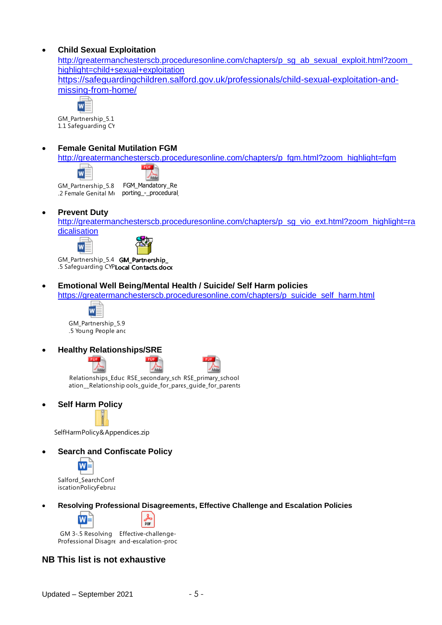#### • **Child Sexual Exploitation**

[http://greatermanchesterscb.proceduresonline.com/chapters/p\\_sg\\_ab\\_sexual\\_exploit.html?zoom\\_](http://greatermanchesterscb.proceduresonline.com/chapters/p_sg_ab_sexual_exploit.html?zoom_highlight=child+sexual+exploitation) [highlight=child+sexual+exploitation](http://greatermanchesterscb.proceduresonline.com/chapters/p_sg_ab_sexual_exploit.html?zoom_highlight=child+sexual+exploitation) [https://safeguardingchildren.salford.gov.uk/professionals/child-sexual-exploitation-and](https://safeguardingchildren.salford.gov.uk/professionals/child-sexual-exploitation-and-missing-from-home/)[missing-from-home/](https://safeguardingchildren.salford.gov.uk/professionals/child-sexual-exploitation-and-missing-from-home/)



W

GM\_Partnership\_5.1 1.1 Safeguarding CY

#### • **Female Genital Mutilation FGM**

[http://greatermanchesterscb.proceduresonline.com/chapters/p\\_fgm.html?zoom\\_highlight=fgm](http://greatermanchesterscb.proceduresonline.com/chapters/p_fgm.html?zoom_highlight=fgm)



GM\_Partnership\_5.8 FGM\_Mandatory\_Re .2 Female Genital Mutilation <u>-</u>\_procedural porting\_-\_procedural

#### • **Prevent Duty**

W

[http://greatermanchesterscb.proceduresonline.com/chapters/p\\_sg\\_vio\\_ext.html?zoom\\_highlight=ra](http://greatermanchesterscb.proceduresonline.com/chapters/p_sg_vio_ext.html?zoom_highlight=radicalisation) [dicalisation](http://greatermanchesterscb.proceduresonline.com/chapters/p_sg_vio_ext.html?zoom_highlight=radicalisation)



GM\_Partnership\_5.4 **GM\_Partnership\_** .5 Safeguarding CYPLocal Contacts.docx

#### • **Emotional Well Being/Mental Health / Suicide/ Self Harm policies**

[https://greatermanchesterscb.proceduresonline.com/chapters/p\\_suicide\\_self\\_harm.html](https://greatermanchesterscb.proceduresonline.com/chapters/p_suicide_self_harm.html)



.5 Young People and

• **Healthy Relationships/SRE**



Relationships\_Educ RSE\_secondary\_sch RSE\_primary\_school ation\_\_Relationship ools\_guide\_for\_par $\epsilon$ s\_guide\_for\_parents

• **Self Harm Policy**



SelfHarmPolicy&Appendices.zip

• **Search and Confiscate Policy** 



W

• **Resolving Professional Disagreements, Effective Challenge and Escalation Policies**



 $p_{\text{RF}}$ 

GM 3-.5 Resolving Effective-challenge-Professional Disagr $\epsilon$  and-escalation-proc

#### **NB This list is not exhaustive**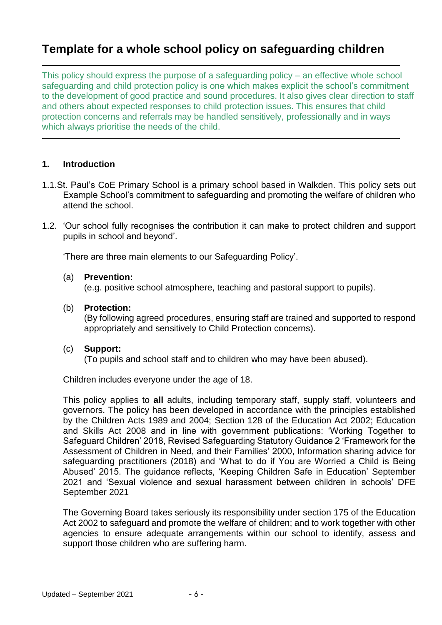## **Template for a whole school policy on safeguarding children**

This policy should express the purpose of a safeguarding policy – an effective whole school safeguarding and child protection policy is one which makes explicit the school's commitment to the development of good practice and sound procedures. It also gives clear direction to staff and others about expected responses to child protection issues. This ensures that child protection concerns and referrals may be handled sensitively, professionally and in ways which always prioritise the needs of the child.

#### **1. Introduction**

- 1.1.St. Paul's CoE Primary School is a primary school based in Walkden. This policy sets out Example School's commitment to safeguarding and promoting the welfare of children who attend the school.
- 1.2. 'Our school fully recognises the contribution it can make to protect children and support pupils in school and beyond'.

'There are three main elements to our Safeguarding Policy'.

#### (a) **Prevention:**

(e.g. positive school atmosphere, teaching and pastoral support to pupils).

#### (b) **Protection:**

(By following agreed procedures, ensuring staff are trained and supported to respond appropriately and sensitively to Child Protection concerns).

#### (c) **Support:**

(To pupils and school staff and to children who may have been abused).

Children includes everyone under the age of 18.

This policy applies to **all** adults, including temporary staff, supply staff, volunteers and governors. The policy has been developed in accordance with the principles established by the Children Acts 1989 and 2004; Section 128 of the Education Act 2002; Education and Skills Act 2008 and in line with government publications: 'Working Together to Safeguard Children' 2018, Revised Safeguarding Statutory Guidance 2 'Framework for the Assessment of Children in Need, and their Families' 2000, Information sharing advice for safeguarding practitioners (2018) and 'What to do if You are Worried a Child is Being Abused' 2015. The guidance reflects, 'Keeping Children Safe in Education' September 2021 and 'Sexual violence and sexual harassment between children in schools' DFE September 2021

The Governing Board takes seriously its responsibility under section 175 of the Education Act 2002 to safeguard and promote the welfare of children; and to work together with other agencies to ensure adequate arrangements within our school to identify, assess and support those children who are suffering harm.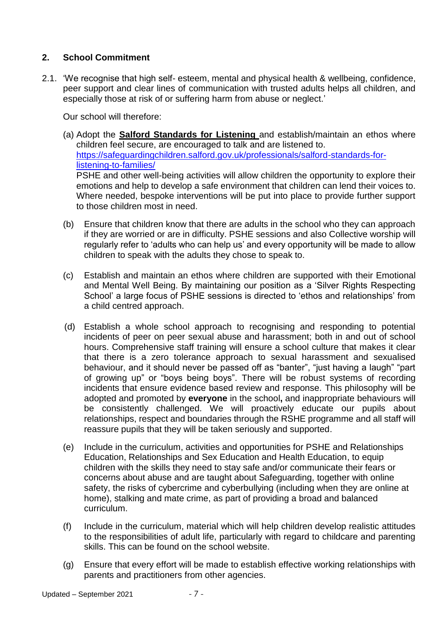#### **2. School Commitment**

2.1. 'We recognise that high self- esteem, mental and physical health & wellbeing, confidence, peer support and clear lines of communication with trusted adults helps all children, and especially those at risk of or suffering harm from abuse or neglect.'

Our school will therefore:

- (a) Adopt the **Salford Standards for Listening** and establish/maintain an ethos where children feel secure, are encouraged to talk and are listened to. [https://safeguardingchildren.salford.gov.uk/professionals/salford-standards-for](https://safeguardingchildren.salford.gov.uk/professionals/salford-standards-for-listening-to-families/)[listening-to-families/](https://safeguardingchildren.salford.gov.uk/professionals/salford-standards-for-listening-to-families/) PSHE and other well-being activities will allow children the opportunity to explore their emotions and help to develop a safe environment that children can lend their voices to. Where needed, bespoke interventions will be put into place to provide further support to those children most in need.
- (b) Ensure that children know that there are adults in the school who they can approach if they are worried or are in difficulty. PSHE sessions and also Collective worship will regularly refer to 'adults who can help us' and every opportunity will be made to allow children to speak with the adults they chose to speak to.
- (c) Establish and maintain an ethos where children are supported with their Emotional and Mental Well Being. By maintaining our position as a 'Silver Rights Respecting School' a large focus of PSHE sessions is directed to 'ethos and relationships' from a child centred approach.
- (d) Establish a whole school approach to recognising and responding to potential incidents of peer on peer sexual abuse and harassment; both in and out of school hours. Comprehensive staff training will ensure a school culture that makes it clear that there is a zero tolerance approach to sexual harassment and sexualised behaviour, and it should never be passed off as "banter", "just having a laugh" "part of growing up" or "boys being boys". There will be robust systems of recording incidents that ensure evidence based review and response. This philosophy will be adopted and promoted by **everyone** in the school**,** and inappropriate behaviours will be consistently challenged. We will proactively educate our pupils about relationships, respect and boundaries through the RSHE programme and all staff will reassure pupils that they will be taken seriously and supported.
- (e) Include in the curriculum, activities and opportunities for PSHE and Relationships Education, Relationships and Sex Education and Health Education, to equip children with the skills they need to stay safe and/or communicate their fears or concerns about abuse and are taught about Safeguarding, together with online safety, the risks of cybercrime and cyberbullying (including when they are online at home), stalking and mate crime, as part of providing a broad and balanced curriculum.
- (f) Include in the curriculum, material which will help children develop realistic attitudes to the responsibilities of adult life, particularly with regard to childcare and parenting skills. This can be found on the school website.
- (g) Ensure that every effort will be made to establish effective working relationships with parents and practitioners from other agencies.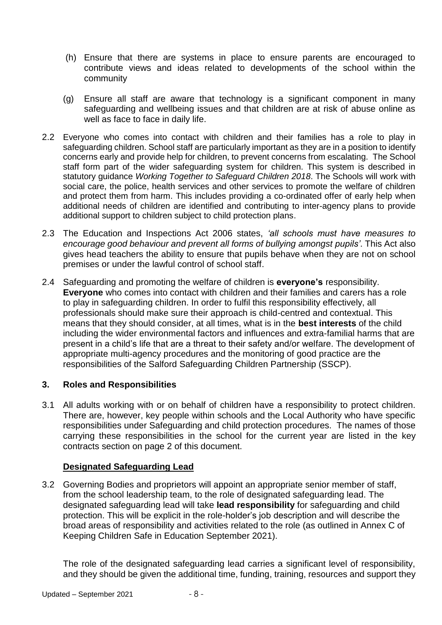- (h) Ensure that there are systems in place to ensure parents are encouraged to contribute views and ideas related to developments of the school within the community
- (g) Ensure all staff are aware that technology is a significant component in many safeguarding and wellbeing issues and that children are at risk of abuse online as well as face to face in daily life.
- 2.2 Everyone who comes into contact with children and their families has a role to play in safeguarding children. School staff are particularly important as they are in a position to identify concerns early and provide help for children, to prevent concerns from escalating. The School staff form part of the wider safeguarding system for children. This system is described in statutory guidance *Working Together to Safeguard Children 2018*. The Schools will work with social care, the police, health services and other services to promote the welfare of children and protect them from harm. This includes providing a co-ordinated offer of early help when additional needs of children are identified and contributing to inter-agency plans to provide additional support to children subject to child protection plans.
- 2.3 The Education and Inspections Act 2006 states, *'all schools must have measures to encourage good behaviour and prevent all forms of bullying amongst pupils'*. This Act also gives head teachers the ability to ensure that pupils behave when they are not on school premises or under the lawful control of school staff.
- 2.4 Safeguarding and promoting the welfare of children is **everyone's** responsibility. **Everyone** who comes into contact with children and their families and carers has a role to play in safeguarding children. In order to fulfil this responsibility effectively, all professionals should make sure their approach is child-centred and contextual. This means that they should consider, at all times, what is in the **best interests** of the child including the wider environmental factors and influences and extra-familial harms that are present in a child's life that are a threat to their safety and/or welfare. The development of appropriate multi-agency procedures and the monitoring of good practice are the responsibilities of the Salford Safeguarding Children Partnership (SSCP).

#### **3. Roles and Responsibilities**

3.1 All adults working with or on behalf of children have a responsibility to protect children. There are, however, key people within schools and the Local Authority who have specific responsibilities under Safeguarding and child protection procedures. The names of those carrying these responsibilities in the school for the current year are listed in the key contracts section on page 2 of this document.

#### **Designated Safeguarding Lead**

3.2 Governing Bodies and proprietors will appoint an appropriate senior member of staff, from the school leadership team, to the role of designated safeguarding lead. The designated safeguarding lead will take **lead responsibility** for safeguarding and child protection. This will be explicit in the role-holder's job description and will describe the broad areas of responsibility and activities related to the role (as outlined in Annex C of Keeping Children Safe in Education September 2021).

The role of the designated safeguarding lead carries a significant level of responsibility, and they should be given the additional time, funding, training, resources and support they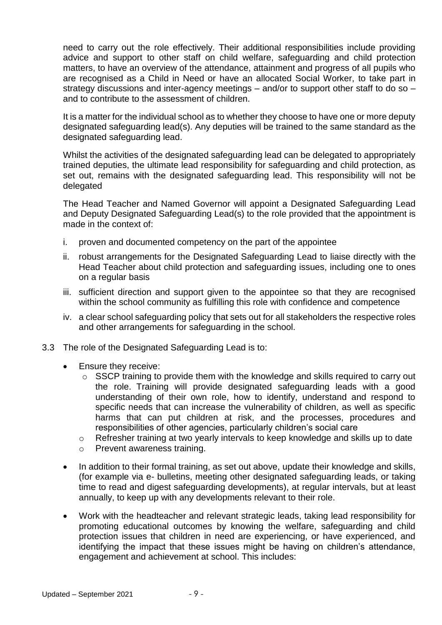need to carry out the role effectively. Their additional responsibilities include providing advice and support to other staff on child welfare, safeguarding and child protection matters, to have an overview of the attendance, attainment and progress of all pupils who are recognised as a Child in Need or have an allocated Social Worker, to take part in strategy discussions and inter-agency meetings – and/or to support other staff to do so – and to contribute to the assessment of children.

It is a matter for the individual school as to whether they choose to have one or more deputy designated safeguarding lead(s). Any deputies will be trained to the same standard as the designated safeguarding lead.

Whilst the activities of the designated safeguarding lead can be delegated to appropriately trained deputies, the ultimate lead responsibility for safeguarding and child protection, as set out, remains with the designated safeguarding lead. This responsibility will not be delegated

The Head Teacher and Named Governor will appoint a Designated Safeguarding Lead and Deputy Designated Safeguarding Lead(s) to the role provided that the appointment is made in the context of:

- i. proven and documented competency on the part of the appointee
- ii. robust arrangements for the Designated Safeguarding Lead to liaise directly with the Head Teacher about child protection and safeguarding issues, including one to ones on a regular basis
- iii. sufficient direction and support given to the appointee so that they are recognised within the school community as fulfilling this role with confidence and competence
- iv. a clear school safeguarding policy that sets out for all stakeholders the respective roles and other arrangements for safeguarding in the school.
- 3.3 The role of the Designated Safeguarding Lead is to:
	- Ensure they receive:
		- $\circ$  SSCP training to provide them with the knowledge and skills required to carry out the role. Training will provide designated safeguarding leads with a good understanding of their own role, how to identify, understand and respond to specific needs that can increase the vulnerability of children, as well as specific harms that can put children at risk, and the processes, procedures and responsibilities of other agencies, particularly children's social care
		- o Refresher training at two yearly intervals to keep knowledge and skills up to date
		- o Prevent awareness training.
	- In addition to their formal training, as set out above, update their knowledge and skills, (for example via e- bulletins, meeting other designated safeguarding leads, or taking time to read and digest safeguarding developments), at regular intervals, but at least annually, to keep up with any developments relevant to their role.
	- Work with the headteacher and relevant strategic leads, taking lead responsibility for promoting educational outcomes by knowing the welfare, safeguarding and child protection issues that children in need are experiencing, or have experienced, and identifying the impact that these issues might be having on children's attendance, engagement and achievement at school. This includes: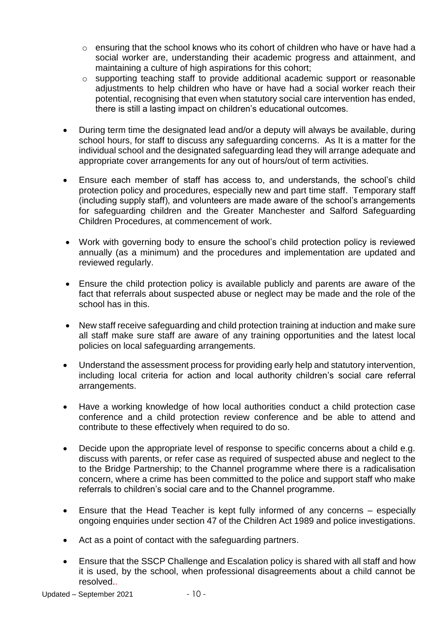- $\circ$  ensuring that the school knows who its cohort of children who have or have had a social worker are, understanding their academic progress and attainment, and maintaining a culture of high aspirations for this cohort;
- o supporting teaching staff to provide additional academic support or reasonable adjustments to help children who have or have had a social worker reach their potential, recognising that even when statutory social care intervention has ended, there is still a lasting impact on children's educational outcomes.
- During term time the designated lead and/or a deputy will always be available, during school hours, for staff to discuss any safeguarding concerns. As It is a matter for the individual school and the designated safeguarding lead they will arrange adequate and appropriate cover arrangements for any out of hours/out of term activities.
- Ensure each member of staff has access to, and understands, the school's child protection policy and procedures, especially new and part time staff. Temporary staff (including supply staff), and volunteers are made aware of the school's arrangements for safeguarding children and the Greater Manchester and Salford Safeguarding Children Procedures, at commencement of work.
- Work with governing body to ensure the school's child protection policy is reviewed annually (as a minimum) and the procedures and implementation are updated and reviewed regularly.
- Ensure the child protection policy is available publicly and parents are aware of the fact that referrals about suspected abuse or neglect may be made and the role of the school has in this.
- New staff receive safeguarding and child protection training at induction and make sure all staff make sure staff are aware of any training opportunities and the latest local policies on local safeguarding arrangements.
- Understand the assessment process for providing early help and statutory intervention, including local criteria for action and local authority children's social care referral arrangements.
- Have a working knowledge of how local authorities conduct a child protection case conference and a child protection review conference and be able to attend and contribute to these effectively when required to do so.
- Decide upon the appropriate level of response to specific concerns about a child e.g. discuss with parents, or refer case as required of suspected abuse and neglect to the to the Bridge Partnership; to the Channel programme where there is a radicalisation concern, where a crime has been committed to the police and support staff who make referrals to children's social care and to the Channel programme.
- Ensure that the Head Teacher is kept fully informed of any concerns especially ongoing enquiries under section 47 of the Children Act 1989 and police investigations.
- Act as a point of contact with the safeguarding partners.
- Ensure that the SSCP Challenge and Escalation policy is shared with all staff and how it is used, by the school, when professional disagreements about a child cannot be resolved..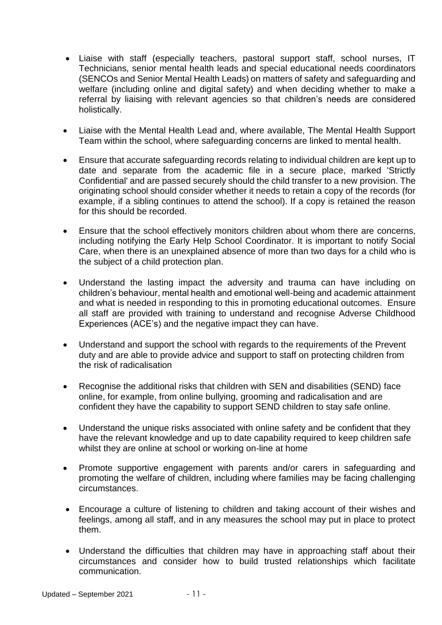- Liaise with staff (especially teachers, pastoral support staff, school nurses, IT Technicians, senior mental health leads and special educational needs coordinators (SENCOs and Senior Mental Health Leads) on matters of safety and safeguarding and welfare (including online and digital safety) and when deciding whether to make a referral by liaising with relevant agencies so that children's needs are considered holistically.
- Liaise with the Mental Health Lead and, where available, The Mental Health Support Team within the school, where safeguarding concerns are linked to mental health.
- Ensure that accurate safeguarding records relating to individual children are kept up to date and separate from the academic file in a secure place, marked 'Strictly Confidential' and are passed securely should the child transfer to a new provision. The originating school should consider whether it needs to retain a copy of the records (for example, if a sibling continues to attend the school). If a copy is retained the reason for this should be recorded.
- Ensure that the school effectively monitors children about whom there are concerns, including notifying the Early Help School Coordinator. It is important to notify Social Care, when there is an unexplained absence of more than two days for a child who is the subject of a child protection plan.
- Understand the lasting impact the adversity and trauma can have including on children's behaviour, mental health and emotional well-being and academic attainment and what is needed in responding to this in promoting educational outcomes. Ensure all staff are provided with training to understand and recognise Adverse Childhood Experiences (ACE's) and the negative impact they can have.
- Understand and support the school with regards to the requirements of the Prevent duty and are able to provide advice and support to staff on protecting children from the risk of radicalisation
- Recognise the additional risks that children with SEN and disabilities (SEND) face online, for example, from online bullying, grooming and radicalisation and are confident they have the capability to support SEND children to stay safe online.
- Understand the unique risks associated with online safety and be confident that they have the relevant knowledge and up to date capability required to keep children safe whilst they are online at school or working on-line at home
- Promote supportive engagement with parents and/or carers in safeguarding and promoting the welfare of children, including where families may be facing challenging circumstances.
- Encourage a culture of listening to children and taking account of their wishes and feelings, among all staff, and in any measures the school may put in place to protect them.
- Understand the difficulties that children may have in approaching staff about their circumstances and consider how to build trusted relationships which facilitate communication.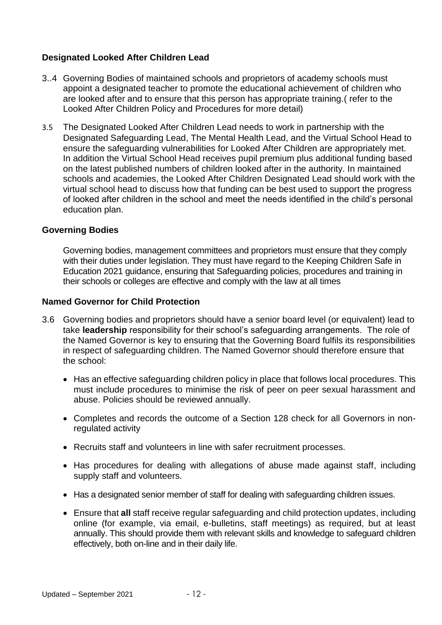#### **Designated Looked After Children Lead**

- 3..4 Governing Bodies of maintained schools and proprietors of academy schools must appoint a designated teacher to promote the educational achievement of children who are looked after and to ensure that this person has appropriate training.( refer to the Looked After Children Policy and Procedures for more detail)
- 3.5 The Designated Looked After Children Lead needs to work in partnership with the Designated Safeguarding Lead, The Mental Health Lead, and the Virtual School Head to ensure the safeguarding vulnerabilities for Looked After Children are appropriately met. In addition the Virtual School Head receives pupil premium plus additional funding based on the latest published numbers of children looked after in the authority. In maintained schools and academies, the Looked After Children Designated Lead should work with the virtual school head to discuss how that funding can be best used to support the progress of looked after children in the school and meet the needs identified in the child's personal education plan.

#### **Governing Bodies**

Governing bodies, management committees and proprietors must ensure that they comply with their duties under legislation. They must have regard to the Keeping Children Safe in Education 2021 guidance, ensuring that Safeguarding policies, procedures and training in their schools or colleges are effective and comply with the law at all times

#### **Named Governor for Child Protection**

- 3.6 Governing bodies and proprietors should have a senior board level (or equivalent) lead to take **leadership** responsibility for their school's safeguarding arrangements. The role of the Named Governor is key to ensuring that the Governing Board fulfils its responsibilities in respect of safeguarding children. The Named Governor should therefore ensure that the school:
	- Has an effective safeguarding children policy in place that follows local procedures. This must include procedures to minimise the risk of peer on peer sexual harassment and abuse. Policies should be reviewed annually.
	- Completes and records the outcome of a Section 128 check for all Governors in nonregulated activity
	- Recruits staff and volunteers in line with safer recruitment processes.
	- Has procedures for dealing with allegations of abuse made against staff, including supply staff and volunteers.
	- Has a designated senior member of staff for dealing with safeguarding children issues.
	- Ensure that **all** staff receive regular safeguarding and child protection updates, including online (for example, via email, e-bulletins, staff meetings) as required, but at least annually. This should provide them with relevant skills and knowledge to safeguard children effectively, both on-line and in their daily life.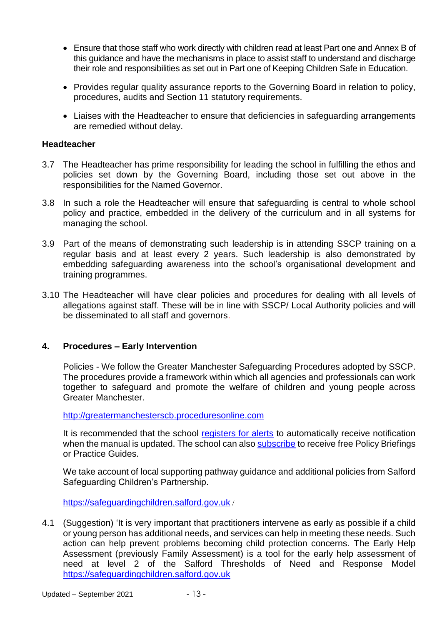- Ensure that those staff who work directly with children read at least Part one and Annex B of this guidance and have the mechanisms in place to assist staff to understand and discharge their role and responsibilities as set out in Part one of Keeping Children Safe in Education.
- Provides regular quality assurance reports to the Governing Board in relation to policy, procedures, audits and Section 11 statutory requirements.
- Liaises with the Headteacher to ensure that deficiencies in safeguarding arrangements are remedied without delay.

#### **Headteacher**

- 3.7 The Headteacher has prime responsibility for leading the school in fulfilling the ethos and policies set down by the Governing Board, including those set out above in the responsibilities for the Named Governor.
- 3.8 In such a role the Headteacher will ensure that safeguarding is central to whole school policy and practice, embedded in the delivery of the curriculum and in all systems for managing the school.
- 3.9 Part of the means of demonstrating such leadership is in attending SSCP training on a regular basis and at least every 2 years. Such leadership is also demonstrated by embedding safeguarding awareness into the school's organisational development and training programmes.
- 3.10 The Headteacher will have clear policies and procedures for dealing with all levels of allegations against staff. These will be in line with SSCP/ Local Authority policies and will be disseminated to all staff and governors.

#### **4. Procedures – Early Intervention**

Policies - We follow the Greater Manchester Safeguarding Procedures adopted by SSCP. The procedures provide a framework within which all agencies and professionals can work together to safeguard and promote the welfare of children and young people across Greater Manchester.

[http://greatermanchesterscb.proceduresonline.com](http://greatermanchesterscb.proceduresonline.com/)

It is recommended that the school registers [for alerts](http://greatermanchesterscb.proceduresonline.com/chapters/register_updates.html) to automatically receive notification when the manual is updated. The school can als[o subscribe](http://www.trixonline.co.uk/website/news/subscribe.html) to receive free Policy Briefings or Practice Guides.

We take account of local supporting pathway guidance and additional policies from Salford Safeguarding Children's Partnership.

[https://safeguardingchildren.salford.gov.uk](https://safeguardingchildren.salford.gov.uk/) /

4.1 (Suggestion) 'It is very important that practitioners intervene as early as possible if a child or young person has additional needs, and services can help in meeting these needs. Such action can help prevent problems becoming child protection concerns. The Early Help Assessment (previously Family Assessment) is a tool for the early help assessment of need at level 2 of the Salford Thresholds of Need and Response Model [https://safeguardingchildren.salford.gov.uk](https://safeguardingchildren.salford.gov.uk/)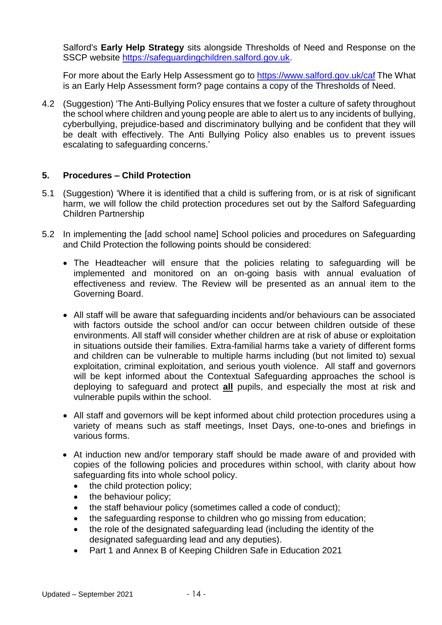Salford's **Early Help Strategy** sits alongside Thresholds of Need and Response on the SSCP website [https://safeguardingchildren.salford.gov.uk.](https://safeguardingchildren.salford.gov.uk/)

For more about the Early Help Assessment go to <https://www.salford.gov.uk/caf> The What is an Early Help Assessment form? page contains a copy of the Thresholds of Need.

4.2 (Suggestion) 'The Anti-Bullying Policy ensures that we foster a culture of safety throughout the school where children and young people are able to alert us to any incidents of bullying, cyberbullying, prejudice-based and discriminatory bullying and be confident that they will be dealt with effectively. The Anti Bullying Policy also enables us to prevent issues escalating to safeguarding concerns.'

#### **5. Procedures – Child Protection**

- 5.1 (Suggestion) 'Where it is identified that a child is suffering from, or is at risk of significant harm, we will follow the child protection procedures set out by the Salford Safeguarding Children Partnership
- 5.2 In implementing the [add school name] School policies and procedures on Safeguarding and Child Protection the following points should be considered:
	- The Headteacher will ensure that the policies relating to safeguarding will be implemented and monitored on an on-going basis with annual evaluation of effectiveness and review. The Review will be presented as an annual item to the Governing Board.
	- All staff will be aware that safeguarding incidents and/or behaviours can be associated with factors outside the school and/or can occur between children outside of these environments. All staff will consider whether children are at risk of abuse or exploitation in situations outside their families. Extra-familial harms take a variety of different forms and children can be vulnerable to multiple harms including (but not limited to) sexual exploitation, criminal exploitation, and serious youth violence. All staff and governors will be kept informed about the Contextual Safeguarding approaches the school is deploying to safeguard and protect **all** pupils, and especially the most at risk and vulnerable pupils within the school.
	- All staff and governors will be kept informed about child protection procedures using a variety of means such as staff meetings, Inset Days, one-to-ones and briefings in various forms.
	- At induction new and/or temporary staff should be made aware of and provided with copies of the following policies and procedures within school, with clarity about how safeguarding fits into whole school policy.
		- the child protection policy;
		- the behaviour policy;
		- the staff behaviour policy (sometimes called a code of conduct);
		- the safeguarding response to children who go missing from education;
		- the role of the designated safeguarding lead (including the identity of the designated safeguarding lead and any deputies).
		- Part 1 and Annex B of Keeping Children Safe in Education 2021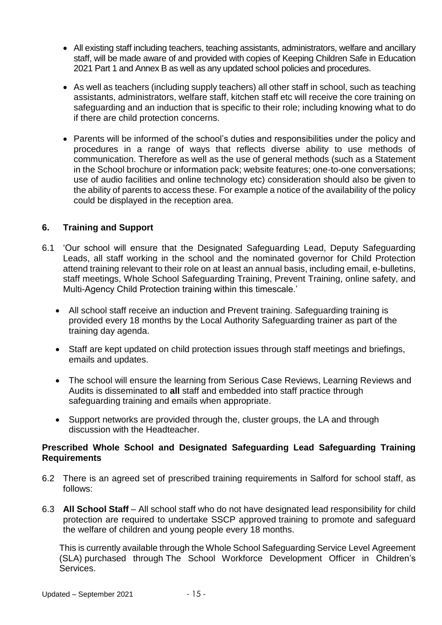- All existing staff including teachers, teaching assistants, administrators, welfare and ancillary staff, will be made aware of and provided with copies of Keeping Children Safe in Education 2021 Part 1 and Annex B as well as any updated school policies and procedures.
- As well as teachers (including supply teachers) all other staff in school, such as teaching assistants, administrators, welfare staff, kitchen staff etc will receive the core training on safeguarding and an induction that is specific to their role; including knowing what to do if there are child protection concerns.
- Parents will be informed of the school's duties and responsibilities under the policy and procedures in a range of ways that reflects diverse ability to use methods of communication. Therefore as well as the use of general methods (such as a Statement in the School brochure or information pack; website features; one-to-one conversations; use of audio facilities and online technology etc) consideration should also be given to the ability of parents to access these. For example a notice of the availability of the policy could be displayed in the reception area.

#### **6. Training and Support**

- 6.1 'Our school will ensure that the Designated Safeguarding Lead, Deputy Safeguarding Leads, all staff working in the school and the nominated governor for Child Protection attend training relevant to their role on at least an annual basis, including email, e-bulletins, staff meetings, Whole School Safeguarding Training, Prevent Training, online safety, and Multi-Agency Child Protection training within this timescale.'
	- All school staff receive an induction and Prevent training. Safeguarding training is provided every 18 months by the Local Authority Safeguarding trainer as part of the training day agenda.
	- Staff are kept updated on child protection issues through staff meetings and briefings, emails and updates.
	- The school will ensure the learning from Serious Case Reviews, Learning Reviews and Audits is disseminated to **all** staff and embedded into staff practice through safeguarding training and emails when appropriate.
	- Support networks are provided through the, cluster groups, the LA and through discussion with the Headteacher.

#### **Prescribed Whole School and Designated Safeguarding Lead Safeguarding Training Requirements**

- 6.2 There is an agreed set of prescribed training requirements in Salford for school staff, as follows:
- 6.3 **All School Staff** All school staff who do not have designated lead responsibility for child protection are required to undertake SSCP approved training to promote and safeguard the welfare of children and young people every 18 months.

This is currently available through the Whole School Safeguarding Service Level Agreement (SLA) purchased through The School Workforce Development Officer in Children's Services.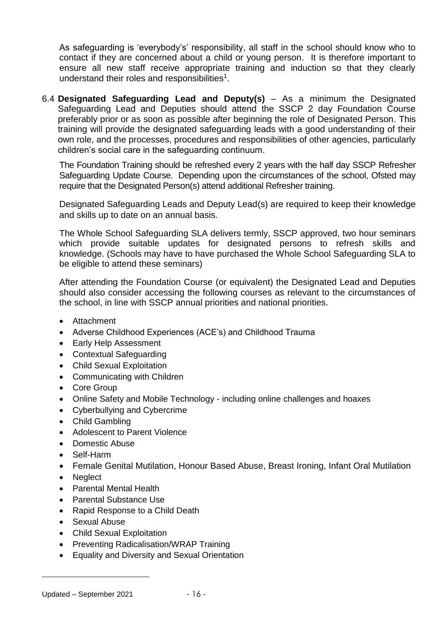As safeguarding is 'everybody's' responsibility, all staff in the school should know who to contact if they are concerned about a child or young person. It is therefore important to ensure all new staff receive appropriate training and induction so that they clearly understand their roles and responsibilities $1$ .

6.4 **Designated Safeguarding Lead and Deputy(s)** – As a minimum the Designated Safeguarding Lead and Deputies should attend the SSCP 2 day Foundation Course preferably prior or as soon as possible after beginning the role of Designated Person. This training will provide the designated safeguarding leads with a good understanding of their own role, and the processes, procedures and responsibilities of other agencies, particularly children's social care in the safeguarding continuum.

The Foundation Training should be refreshed every 2 years with the half day SSCP Refresher Safeguarding Update Course. Depending upon the circumstances of the school, Ofsted may require that the Designated Person(s) attend additional Refresher training.

Designated Safeguarding Leads and Deputy Lead(s) are required to keep their knowledge and skills up to date on an annual basis.

The Whole School Safeguarding SLA delivers termly, SSCP approved, two hour seminars which provide suitable updates for designated persons to refresh skills and knowledge. (Schools may have to have purchased the Whole School Safeguarding SLA to be eligible to attend these seminars)

After attending the Foundation Course (or equivalent) the Designated Lead and Deputies should also consider accessing the following courses as relevant to the circumstances of the school, in line with SSCP annual priorities and national priorities.

- Attachment
- Adverse Childhood Experiences (ACE's) and Childhood Trauma
- Early Help Assessment
- Contextual Safeguarding
- Child Sexual Exploitation
- Communicating with Children
- Core Group
- Online Safety and Mobile Technology including online challenges and hoaxes
- Cyberbullying and Cybercrime
- Child Gambling
- Adolescent to Parent Violence
- Domestic Abuse
- Self-Harm
- Female Genital Mutilation, Honour Based Abuse, Breast Ironing, Infant Oral Mutilation
- Neglect
- Parental Mental Health
- Parental Substance Use
- Rapid Response to a Child Death
- Sexual Abuse
- Child Sexual Exploitation
- Preventing Radicalisation/WRAP Training
- Equality and Diversity and Sexual Orientation

#### Updated – September 2021 - 16 -

1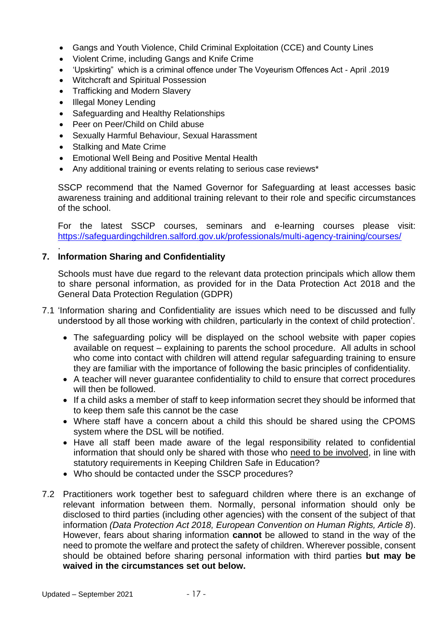- Gangs and Youth Violence, Child Criminal Exploitation (CCE) and County Lines
- Violent Crime, including Gangs and Knife Crime
- 'Upskirting" which is a criminal offence under The Voyeurism Offences Act April .2019
- Witchcraft and Spiritual Possession
- Trafficking and Modern Slavery
- Illegal Money Lending
- Safeguarding and Healthy Relationships
- Peer on Peer/Child on Child abuse
- Sexually Harmful Behaviour, Sexual Harassment
- Stalking and Mate Crime

.

- Emotional Well Being and Positive Mental Health
- Any additional training or events relating to serious case reviews\*

SSCP recommend that the Named Governor for Safeguarding at least accesses basic awareness training and additional training relevant to their role and specific circumstances of the school.

For the latest SSCP courses, seminars and e-learning courses please visit: <https://safeguardingchildren.salford.gov.uk/professionals/multi-agency-training/courses/>

#### **7. Information Sharing and Confidentiality**

Schools must have due regard to the relevant data protection principals which allow them to share personal information, as provided for in the Data Protection Act 2018 and the General Data Protection Regulation (GDPR)

- 7.1 'Information sharing and Confidentiality are issues which need to be discussed and fully understood by all those working with children, particularly in the context of child protection'.
	- The safeguarding policy will be displayed on the school website with paper copies available on request – explaining to parents the school procedure. All adults in school who come into contact with children will attend regular safeguarding training to ensure they are familiar with the importance of following the basic principles of confidentiality.
	- A teacher will never guarantee confidentiality to child to ensure that correct procedures will then be followed.
	- If a child asks a member of staff to keep information secret they should be informed that to keep them safe this cannot be the case
	- Where staff have a concern about a child this should be shared using the CPOMS system where the DSL will be notified.
	- Have all staff been made aware of the legal responsibility related to confidential information that should only be shared with those who need to be involved, in line with statutory requirements in Keeping Children Safe in Education?
	- Who should be contacted under the SSCP procedures?
- 7.2 Practitioners work together best to safeguard children where there is an exchange of relevant information between them. Normally, personal information should only be disclosed to third parties (including other agencies) with the consent of the subject of that information *(Data Protection Act 2018, European Convention on Human Rights, Article 8*). However, fears about sharing information **cannot** be allowed to stand in the way of the need to promote the welfare and protect the safety of children. Wherever possible, consent should be obtained before sharing personal information with third parties **but may be waived in the circumstances set out below.**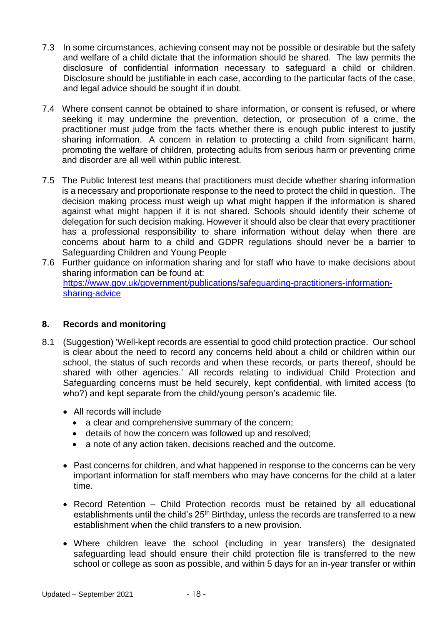- 7.3 In some circumstances, achieving consent may not be possible or desirable but the safety and welfare of a child dictate that the information should be shared. The law permits the disclosure of confidential information necessary to safeguard a child or children. Disclosure should be justifiable in each case, according to the particular facts of the case, and legal advice should be sought if in doubt.
- 7.4 Where consent cannot be obtained to share information, or consent is refused, or where seeking it may undermine the prevention, detection, or prosecution of a crime, the practitioner must judge from the facts whether there is enough public interest to justify sharing information. A concern in relation to protecting a child from significant harm, promoting the welfare of children, protecting adults from serious harm or preventing crime and disorder are all well within public interest.
- 7.5 The Public Interest test means that practitioners must decide whether sharing information is a necessary and proportionate response to the need to protect the child in question. The decision making process must weigh up what might happen if the information is shared against what might happen if it is not shared. Schools should identify their scheme of delegation for such decision making. However it should also be clear that every practitioner has a professional responsibility to share information without delay when there are concerns about harm to a child and GDPR regulations should never be a barrier to Safeguarding Children and Young People
- 7.6 Further guidance on information sharing and for staff who have to make decisions about sharing information can be found at: [https://www.gov.uk/government/publications/safeguarding-practitioners-information](https://www.gov.uk/government/publications/safeguarding-practitioners-information-sharing-advice)[sharing-advice](https://www.gov.uk/government/publications/safeguarding-practitioners-information-sharing-advice)

#### **8. Records and monitoring**

- 8.1 (Suggestion) 'Well-kept records are essential to good child protection practice. Our school is clear about the need to record any concerns held about a child or children within our school, the status of such records and when these records, or parts thereof, should be shared with other agencies.' All records relating to individual Child Protection and Safeguarding concerns must be held securely, kept confidential, with limited access (to who?) and kept separate from the child/young person's academic file.
	- All records will include
		- a clear and comprehensive summary of the concern;
		- details of how the concern was followed up and resolved;
		- a note of any action taken, decisions reached and the outcome.
	- Past concerns for children, and what happened in response to the concerns can be very important information for staff members who may have concerns for the child at a later time.
	- Record Retention Child Protection records must be retained by all educational establishments until the child's 25<sup>th</sup> Birthday, unless the records are transferred to a new establishment when the child transfers to a new provision.
	- Where children leave the school (including in year transfers) the designated safeguarding lead should ensure their child protection file is transferred to the new school or college as soon as possible, and within 5 days for an in-year transfer or within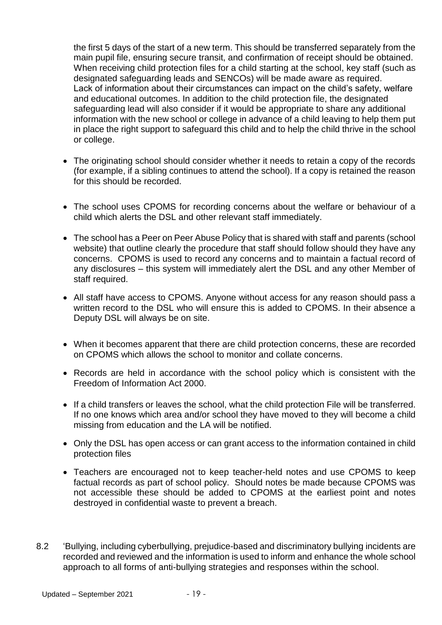the first 5 days of the start of a new term. This should be transferred separately from the main pupil file, ensuring secure transit, and confirmation of receipt should be obtained. When receiving child protection files for a child starting at the school, key staff (such as designated safeguarding leads and SENCOs) will be made aware as required. Lack of information about their circumstances can impact on the child's safety, welfare and educational outcomes. In addition to the child protection file, the designated safeguarding lead will also consider if it would be appropriate to share any additional information with the new school or college in advance of a child leaving to help them put in place the right support to safeguard this child and to help the child thrive in the school or college.

- The originating school should consider whether it needs to retain a copy of the records (for example, if a sibling continues to attend the school). If a copy is retained the reason for this should be recorded.
- The school uses CPOMS for recording concerns about the welfare or behaviour of a child which alerts the DSL and other relevant staff immediately.
- The school has a Peer on Peer Abuse Policy that is shared with staff and parents (school website) that outline clearly the procedure that staff should follow should they have any concerns. CPOMS is used to record any concerns and to maintain a factual record of any disclosures – this system will immediately alert the DSL and any other Member of staff required.
- All staff have access to CPOMS. Anyone without access for any reason should pass a written record to the DSL who will ensure this is added to CPOMS. In their absence a Deputy DSL will always be on site.
- When it becomes apparent that there are child protection concerns, these are recorded on CPOMS which allows the school to monitor and collate concerns.
- Records are held in accordance with the school policy which is consistent with the Freedom of Information Act 2000.
- If a child transfers or leaves the school, what the child protection File will be transferred. If no one knows which area and/or school they have moved to they will become a child missing from education and the LA will be notified.
- Only the DSL has open access or can grant access to the information contained in child protection files
- Teachers are encouraged not to keep teacher-held notes and use CPOMS to keep factual records as part of school policy. Should notes be made because CPOMS was not accessible these should be added to CPOMS at the earliest point and notes destroyed in confidential waste to prevent a breach.
- 8.2 'Bullying, including cyberbullying, prejudice-based and discriminatory bullying incidents are recorded and reviewed and the information is used to inform and enhance the whole school approach to all forms of anti-bullying strategies and responses within the school.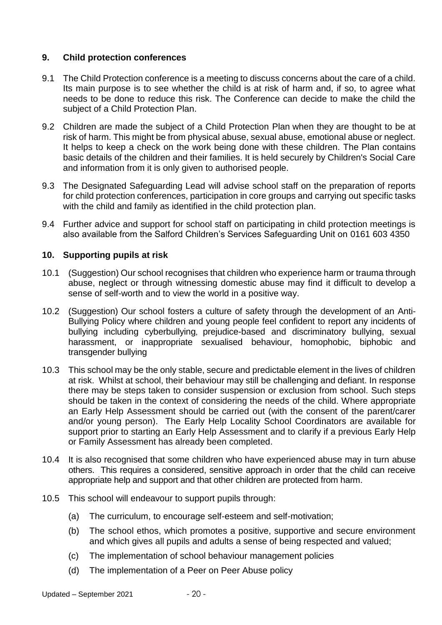#### **9. Child protection conferences**

- 9.1 The Child Protection conference is a meeting to discuss concerns about the care of a child. Its main purpose is to see whether the child is at risk of harm and, if so, to agree what needs to be done to reduce this risk. The Conference can decide to make the child the subject of a Child Protection Plan.
- 9.2 Children are made the subject of a Child Protection Plan when they are thought to be at risk of harm. This might be from physical abuse, sexual abuse, emotional abuse or neglect. It helps to keep a check on the work being done with these children. The Plan contains basic details of the children and their families. It is held securely by Children's Social Care and information from it is only given to authorised people.
- 9.3 The Designated Safeguarding Lead will advise school staff on the preparation of reports for child protection conferences, participation in core groups and carrying out specific tasks with the child and family as identified in the child protection plan.
- 9.4 Further advice and support for school staff on participating in child protection meetings is also available from the Salford Children's Services Safeguarding Unit on 0161 603 4350

#### **10. Supporting pupils at risk**

- 10.1 (Suggestion) Our school recognises that children who experience harm or trauma through abuse, neglect or through witnessing domestic abuse may find it difficult to develop a sense of self-worth and to view the world in a positive way.
- 10.2 (Suggestion) Our school fosters a culture of safety through the development of an Anti-Bullying Policy where children and young people feel confident to report any incidents of bullying including cyberbullying, prejudice-based and discriminatory bullying, sexual harassment, or inappropriate sexualised behaviour, homophobic, biphobic and transgender bullying
- 10.3 This school may be the only stable, secure and predictable element in the lives of children at risk. Whilst at school, their behaviour may still be challenging and defiant. In response there may be steps taken to consider suspension or exclusion from school. Such steps should be taken in the context of considering the needs of the child. Where appropriate an Early Help Assessment should be carried out (with the consent of the parent/carer and/or young person). The Early Help Locality School Coordinators are available for support prior to starting an Early Help Assessment and to clarify if a previous Early Help or Family Assessment has already been completed.
- 10.4 It is also recognised that some children who have experienced abuse may in turn abuse others. This requires a considered, sensitive approach in order that the child can receive appropriate help and support and that other children are protected from harm.
- 10.5 This school will endeavour to support pupils through:
	- (a) The curriculum, to encourage self-esteem and self-motivation;
	- (b) The school ethos, which promotes a positive, supportive and secure environment and which gives all pupils and adults a sense of being respected and valued;
	- (c) The implementation of school behaviour management policies
	- (d) The implementation of a Peer on Peer Abuse policy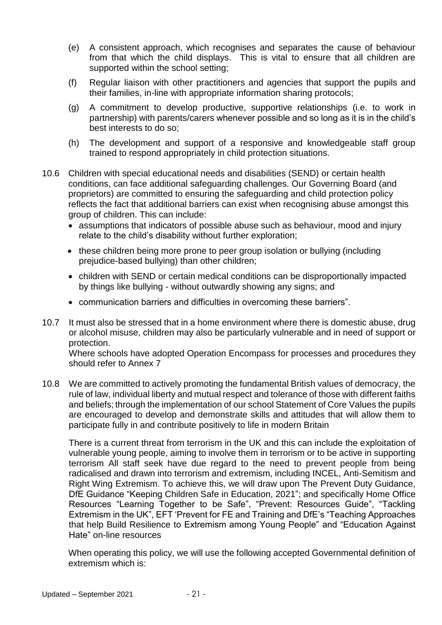- (e) A consistent approach, which recognises and separates the cause of behaviour from that which the child displays. This is vital to ensure that all children are supported within the school setting;
- (f) Regular liaison with other practitioners and agencies that support the pupils and their families, in-line with appropriate information sharing protocols;
- (g) A commitment to develop productive, supportive relationships (i.e. to work in partnership) with parents/carers whenever possible and so long as it is in the child's best interests to do so;
- (h) The development and support of a responsive and knowledgeable staff group trained to respond appropriately in child protection situations.
- 10.6 Children with special educational needs and disabilities (SEND) or certain health conditions, can face additional safeguarding challenges. Our Governing Board (and proprietors) are committed to ensuring the safeguarding and child protection policy reflects the fact that additional barriers can exist when recognising abuse amongst this group of children. This can include:
	- assumptions that indicators of possible abuse such as behaviour, mood and injury relate to the child's disability without further exploration;
	- these children being more prone to peer group isolation or bullying (including prejudice-based bullying) than other children;
	- children with SEND or certain medical conditions can be disproportionally impacted by things like bullying - without outwardly showing any signs; and
	- communication barriers and difficulties in overcoming these barriers".
- 10.7 It must also be stressed that in a home environment where there is domestic abuse, drug or alcohol misuse, children may also be particularly vulnerable and in need of support or protection.

Where schools have adopted Operation Encompass for processes and procedures they should refer to Annex 7

10.8 We are committed to actively promoting the fundamental British values of democracy, the rule of law, individual liberty and mutual respect and tolerance of those with different faiths and beliefs; through the implementation of our school Statement of Core Values the pupils are encouraged to develop and demonstrate skills and attitudes that will allow them to participate fully in and contribute positively to life in modern Britain

There is a current threat from terrorism in the UK and this can include the exploitation of vulnerable young people, aiming to involve them in terrorism or to be active in supporting terrorism All staff seek have due regard to the need to prevent people from being radicalised and drawn into terrorism and extremism, including INCEL, Anti-Semitism and Right Wing Extremism. To achieve this, we will draw upon The Prevent Duty Guidance, DfE Guidance "Keeping Children Safe in Education, 2021"; and specifically Home Office Resources "Learning Together to be Safe", "Prevent: Resources Guide", "Tackling Extremism in the UK", EFT 'Prevent for FE and Training and DfE's "Teaching Approaches that help Build Resilience to Extremism among Young People" and "Education Against Hate" on-line resources

When operating this policy, we will use the following accepted Governmental definition of extremism which is: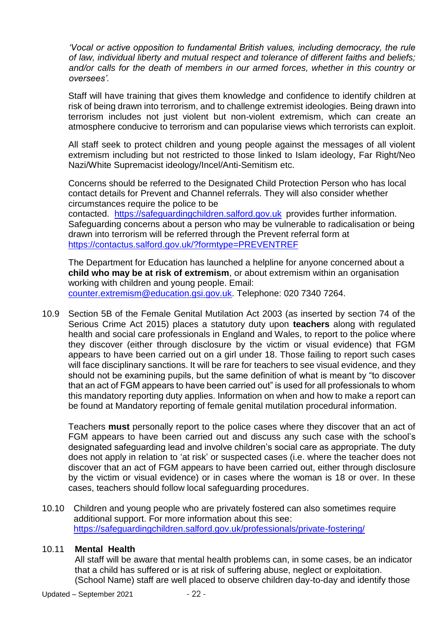*'Vocal or active opposition to fundamental British values, including democracy, the rule of law, individual liberty and mutual respect and tolerance of different faiths and beliefs;*  and/or calls for the death of members in our armed forces, whether in this country or *oversees'.*

Staff will have training that gives them knowledge and confidence to identify children at risk of being drawn into terrorism, and to challenge extremist ideologies. Being drawn into terrorism includes not just violent but non-violent extremism, which can create an atmosphere conducive to terrorism and can popularise views which terrorists can exploit.

All staff seek to protect children and young people against the messages of all violent extremism including but not restricted to those linked to Islam ideology, Far Right/Neo Nazi/White Supremacist ideology/Incel/Anti-Semitism etc.

Concerns should be referred to the Designated Child Protection Person who has local contact details for Prevent and Channel referrals. They will also consider whether circumstances require the police to be contacted. [https://safeguardingchildren.salford.gov.uk](https://safeguardingchildren.salford.gov.uk/) provides further information. Safeguarding concerns about a person who may be vulnerable to radicalisation or being drawn into terrorism will be referred through the Prevent referral form at <https://contactus.salford.gov.uk/?formtype=PREVENTREF>

The Department for Education has launched a helpline for anyone concerned about a **child who may be at risk of extremism**, or about extremism within an organisation working with children and young people. Email: [counter.extremism@education.gsi.gov.uk.](mailto:counter.extremism@education.gsi.gov.uk) Telephone: 020 7340 7264.

10.9 Section 5B of the Female Genital Mutilation Act 2003 (as inserted by section 74 of the Serious Crime Act 2015) places a statutory duty upon **teachers** along with regulated health and social care professionals in England and Wales, to report to the police where they discover (either through disclosure by the victim or visual evidence) that FGM appears to have been carried out on a girl under 18. Those failing to report such cases will face disciplinary sanctions. It will be rare for teachers to see visual evidence, and they should not be examining pupils, but the same definition of what is meant by "to discover that an act of FGM appears to have been carried out" is used for all professionals to whom this mandatory reporting duty applies. Information on when and how to make a report can be found at Mandatory reporting of female genital mutilation procedural information.

Teachers **must** personally report to the police cases where they discover that an act of FGM appears to have been carried out and discuss any such case with the school's designated safeguarding lead and involve children's social care as appropriate. The duty does not apply in relation to 'at risk' or suspected cases (i.e. where the teacher does not discover that an act of FGM appears to have been carried out, either through disclosure by the victim or visual evidence) or in cases where the woman is 18 or over. In these cases, teachers should follow local safeguarding procedures.

10.10 Children and young people who are privately fostered can also sometimes require additional support. For more information about this see: <https://safeguardingchildren.salford.gov.uk/professionals/private-fostering/>

#### 10.11 **Mental Health**

All staff will be aware that mental health problems can, in some cases, be an indicator that a child has suffered or is at risk of suffering abuse, neglect or exploitation. (School Name) staff are well placed to observe children day-to-day and identify those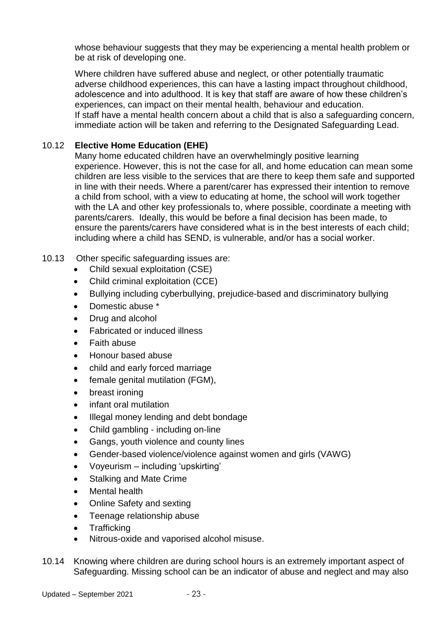whose behaviour suggests that they may be experiencing a mental health problem or be at risk of developing one.

Where children have suffered abuse and neglect, or other potentially traumatic adverse childhood experiences, this can have a lasting impact throughout childhood, adolescence and into adulthood. It is key that staff are aware of how these children's experiences, can impact on their mental health, behaviour and education. If staff have a mental health concern about a child that is also a safeguarding concern, immediate action will be taken and referring to the Designated Safeguarding Lead.

#### 10.12 **Elective Home Education (EHE)**

Many home educated children have an overwhelmingly positive learning experience. However, this is not the case for all, and home education can mean some children are less visible to the services that are there to keep them safe and supported in line with their needs. Where a parent/carer has expressed their intention to remove a child from school, with a view to educating at home, the school will work together with the LA and other key professionals to, where possible, coordinate a meeting with parents/carers. Ideally, this would be before a final decision has been made, to ensure the parents/carers have considered what is in the best interests of each child; including where a child has SEND, is vulnerable, and/or has a social worker.

- 10.13 Other specific safeguarding issues are:
	- Child sexual exploitation (CSE)
	- Child criminal exploitation (CCE)
	- Bullying including cyberbullying, prejudice-based and discriminatory bullying
	- Domestic abuse \*
	- Drug and alcohol
	- Fabricated or induced illness
	- Faith abuse
	- Honour based abuse
	- child and early forced marriage
	- female genital mutilation (FGM),
	- breast ironing
	- infant oral mutilation
	- Illegal money lending and debt bondage
	- Child gambling including on-line
	- Gangs, youth violence and county lines
	- Gender-based violence/violence against women and girls (VAWG)
	- Voyeurism including 'upskirting'
	- Stalking and Mate Crime
	- Mental health
	- Online Safety and sexting
	- Teenage relationship abuse
	- **Trafficking**
	- Nitrous-oxide and vaporised alcohol misuse.
- 10.14 Knowing where children are during school hours is an extremely important aspect of Safeguarding. Missing school can be an indicator of abuse and neglect and may also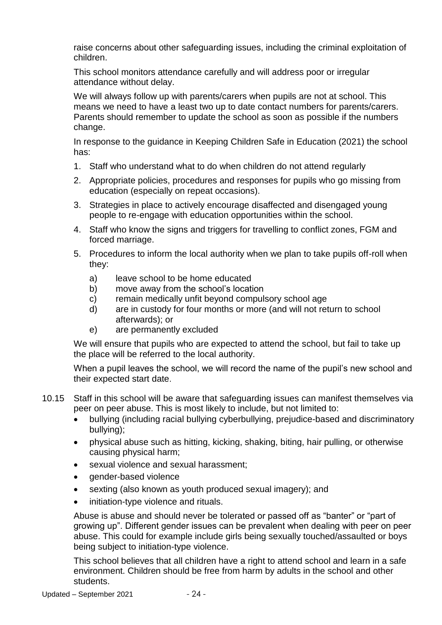raise concerns about other safeguarding issues, including the criminal exploitation of children.

This school monitors attendance carefully and will address poor or irregular attendance without delay.

We will always follow up with parents/carers when pupils are not at school. This means we need to have a least two up to date contact numbers for parents/carers. Parents should remember to update the school as soon as possible if the numbers change.

In response to the guidance in Keeping Children Safe in Education (2021) the school has:

- 1. Staff who understand what to do when children do not attend regularly
- 2. Appropriate policies, procedures and responses for pupils who go missing from education (especially on repeat occasions).
- 3. Strategies in place to actively encourage disaffected and disengaged young people to re-engage with education opportunities within the school.
- 4. Staff who know the signs and triggers for travelling to conflict zones, FGM and forced marriage.
- 5. Procedures to inform the local authority when we plan to take pupils off-roll when they:
	- a) leave school to be home educated
	- b) move away from the school's location
	- c) remain medically unfit beyond compulsory school age
	- d) are in custody for four months or more (and will not return to school afterwards); or
	- e) are permanently excluded

We will ensure that pupils who are expected to attend the school, but fail to take up the place will be referred to the local authority.

When a pupil leaves the school, we will record the name of the pupil's new school and their expected start date.

- 10.15 Staff in this school will be aware that safeguarding issues can manifest themselves via peer on peer abuse. This is most likely to include, but not limited to:
	- bullying (including racial bullying cyberbullying, prejudice-based and discriminatory bullying);
	- physical abuse such as hitting, kicking, shaking, biting, hair pulling, or otherwise causing physical harm;
	- sexual violence and sexual harassment;
	- gender-based violence
	- sexting (also known as youth produced sexual imagery); and
	- initiation-type violence and rituals.

Abuse is abuse and should never be tolerated or passed off as "banter" or "part of growing up". Different gender issues can be prevalent when dealing with peer on peer abuse. This could for example include girls being sexually touched/assaulted or boys being subject to initiation-type violence.

This school believes that all children have a right to attend school and learn in a safe environment. Children should be free from harm by adults in the school and other students.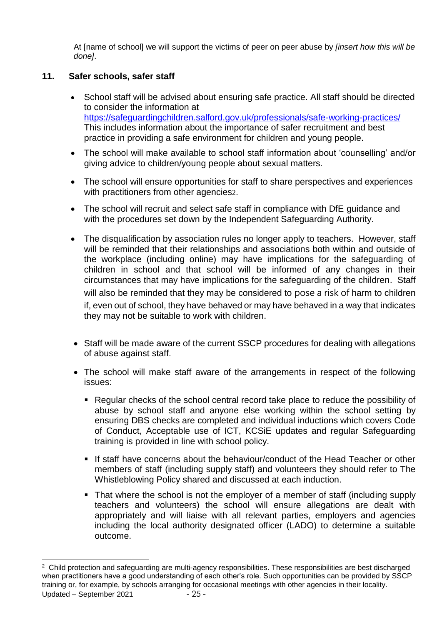At [name of school] we will support the victims of peer on peer abuse by *[insert how this will be done]*.

### **11. Safer schools, safer staff**

- School staff will be advised about ensuring safe practice. All staff should be directed to consider the information at <https://safeguardingchildren.salford.gov.uk/professionals/safe-working-practices/> This includes information about the importance of safer recruitment and best practice in providing a safe environment for children and young people.
- The school will make available to school staff information about 'counselling' and/or giving advice to children/young people about sexual matters.
- The school will ensure opportunities for staff to share perspectives and experiences with practitioners from other agencies2.
- The school will recruit and select safe staff in compliance with DfE guidance and with the procedures set down by the Independent Safeguarding Authority.
- The disqualification by association rules no longer apply to teachers. However, staff will be reminded that their relationships and associations both within and outside of the workplace (including online) may have implications for the safeguarding of children in school and that school will be informed of any changes in their circumstances that may have implications for the safeguarding of the children. Staff will also be reminded that they may be considered to pose a risk of harm to children if, even out of school, they have behaved or may have behaved in a way that indicates they may not be suitable to work with children.
- Staff will be made aware of the current SSCP procedures for dealing with allegations of abuse against staff.
- The school will make staff aware of the arrangements in respect of the following issues:
	- Regular checks of the school central record take place to reduce the possibility of abuse by school staff and anyone else working within the school setting by ensuring DBS checks are completed and individual inductions which covers Code of Conduct, Acceptable use of ICT, KCSiE updates and regular Safeguarding training is provided in line with school policy.
	- **■** If staff have concerns about the behaviour/conduct of the Head Teacher or other members of staff (including supply staff) and volunteers they should refer to The Whistleblowing Policy shared and discussed at each induction.
	- That where the school is not the employer of a member of staff (including supply teachers and volunteers) the school will ensure allegations are dealt with appropriately and will liaise with all relevant parties, employers and agencies including the local authority designated officer (LADO) to determine a suitable outcome.

Updated – September 2021  $-25$  --<sup>2</sup> Child protection and safeguarding are multi-agency responsibilities. These responsibilities are best discharged when practitioners have a good understanding of each other's role. Such opportunities can be provided by SSCP training or, for example, by schools arranging for occasional meetings with other agencies in their locality.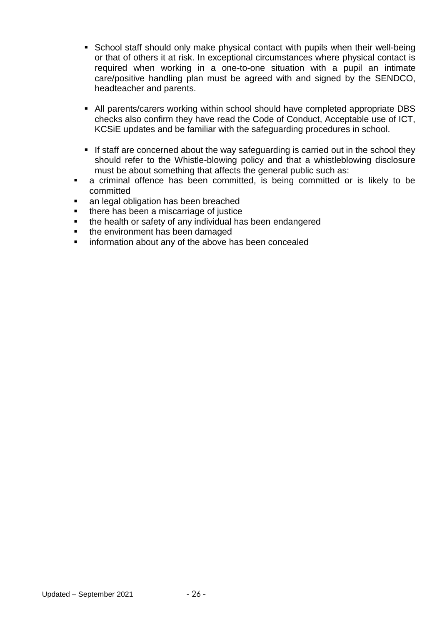- School staff should only make physical contact with pupils when their well-being or that of others it at risk. In exceptional circumstances where physical contact is required when working in a one-to-one situation with a pupil an intimate care/positive handling plan must be agreed with and signed by the SENDCO, headteacher and parents.
- All parents/carers working within school should have completed appropriate DBS checks also confirm they have read the Code of Conduct, Acceptable use of ICT, KCSiE updates and be familiar with the safeguarding procedures in school.
- If staff are concerned about the way safeguarding is carried out in the school they should refer to the Whistle-blowing policy and that a whistleblowing disclosure must be about something that affects the general public such as:
- a criminal offence has been committed, is being committed or is likely to be committed
- an legal obligation has been breached
- there has been a miscarriage of justice
- the health or safety of any individual has been endangered
- the environment has been damaged
- **EXEDENT** information about any of the above has been concealed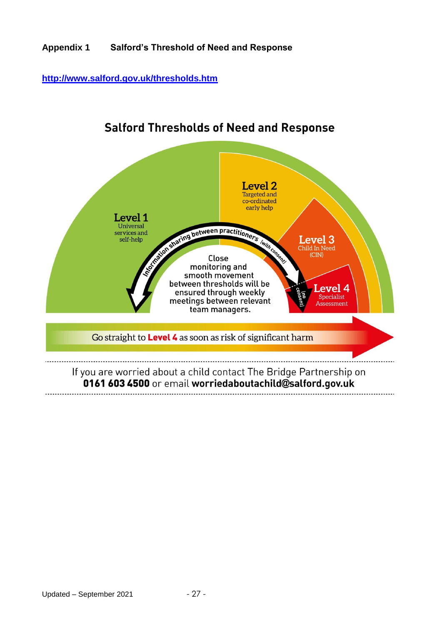**<http://www.salford.gov.uk/thresholds.htm>**

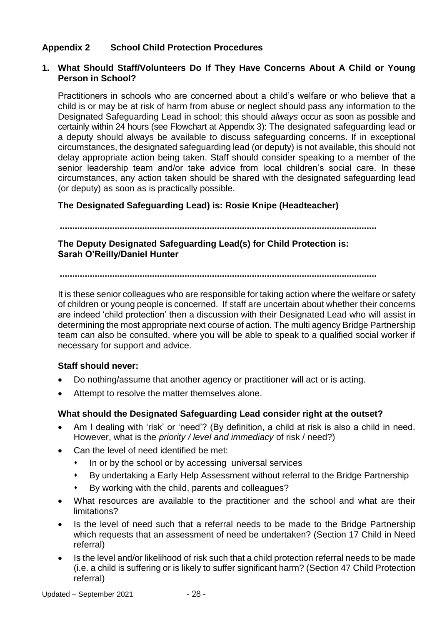#### **Appendix 2 School Child Protection Procedures**

#### **1. What Should Staff/Volunteers Do If They Have Concerns About A Child or Young Person in School?**

Practitioners in schools who are concerned about a child's welfare or who believe that a child is or may be at risk of harm from abuse or neglect should pass any information to the Designated Safeguarding Lead in school; this should *always* occur as soon as possible and certainly within 24 hours (see Flowchart at Appendix 3): The designated safeguarding lead or a deputy should always be available to discuss safeguarding concerns. If in exceptional circumstances, the designated safeguarding lead (or deputy) is not available, this should not delay appropriate action being taken. Staff should consider speaking to a member of the senior leadership team and/or take advice from local children's social care. In these circumstances, any action taken should be shared with the designated safeguarding lead (or deputy) as soon as is practically possible.

#### **The Designated Safeguarding Lead) is: Rosie Knipe (Headteacher)**

**...............................................................................................................................**

#### **The Deputy Designated Safeguarding Lead(s) for Child Protection is: Sarah O'Reilly/Daniel Hunter**

**...............................................................................................................................**

It is these senior colleagues who are responsible for taking action where the welfare or safety of children or young people is concerned. If staff are uncertain about whether their concerns are indeed 'child protection' then a discussion with their Designated Lead who will assist in determining the most appropriate next course of action. The multi agency Bridge Partnership team can also be consulted, where you will be able to speak to a qualified social worker if necessary for support and advice.

#### **Staff should never:**

- Do nothing/assume that another agency or practitioner will act or is acting.
- Attempt to resolve the matter themselves alone.

#### **What should the Designated Safeguarding Lead consider right at the outset?**

- Am I dealing with 'risk' or 'need'? (By definition, a child at risk is also a child in need. However, what is the *priority / level and immediacy* of risk / need?)
- Can the level of need identified be met:
	- In or by the school or by accessing universal services
	- By undertaking a Early Help Assessment without referral to the Bridge Partnership
	- By working with the child, parents and colleagues?
- What resources are available to the practitioner and the school and what are their limitations?
- Is the level of need such that a referral needs to be made to the Bridge Partnership which requests that an assessment of need be undertaken? (Section 17 Child in Need referral)
- Is the level and/or likelihood of risk such that a child protection referral needs to be made (i.e. a child is suffering or is likely to suffer significant harm? (Section 47 Child Protection referral)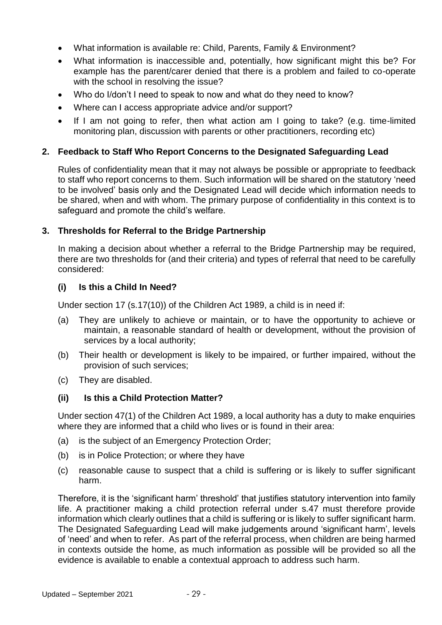- What information is available re: Child, Parents, Family & Environment?
- What information is inaccessible and, potentially, how significant might this be? For example has the parent/carer denied that there is a problem and failed to co-operate with the school in resolving the issue?
- Who do I/don't I need to speak to now and what do they need to know?
- Where can I access appropriate advice and/or support?
- If I am not going to refer, then what action am I going to take? (e.g. time-limited monitoring plan, discussion with parents or other practitioners, recording etc)

#### **2. Feedback to Staff Who Report Concerns to the Designated Safeguarding Lead**

Rules of confidentiality mean that it may not always be possible or appropriate to feedback to staff who report concerns to them. Such information will be shared on the statutory 'need to be involved' basis only and the Designated Lead will decide which information needs to be shared, when and with whom. The primary purpose of confidentiality in this context is to safeguard and promote the child's welfare.

#### **3. Thresholds for Referral to the Bridge Partnership**

In making a decision about whether a referral to the Bridge Partnership may be required, there are two thresholds for (and their criteria) and types of referral that need to be carefully considered:

#### **(i) Is this a Child In Need?**

Under section 17 (s.17(10)) of the Children Act 1989, a child is in need if:

- (a) They are unlikely to achieve or maintain, or to have the opportunity to achieve or maintain, a reasonable standard of health or development, without the provision of services by a local authority;
- (b) Their health or development is likely to be impaired, or further impaired, without the provision of such services;
- (c) They are disabled.

#### **(ii) Is this a Child Protection Matter?**

Under section 47(1) of the Children Act 1989, a local authority has a duty to make enquiries where they are informed that a child who lives or is found in their area:

- (a) is the subject of an Emergency Protection Order;
- (b) is in Police Protection; or where they have
- (c) reasonable cause to suspect that a child is suffering or is likely to suffer significant harm.

Therefore, it is the 'significant harm' threshold' that justifies statutory intervention into family life. A practitioner making a child protection referral under s.47 must therefore provide information which clearly outlines that a child is suffering or is likely to suffer significant harm. The Designated Safeguarding Lead will make judgements around 'significant harm', levels of 'need' and when to refer. As part of the referral process, when children are being harmed in contexts outside the home, as much information as possible will be provided so all the evidence is available to enable a contextual approach to address such harm.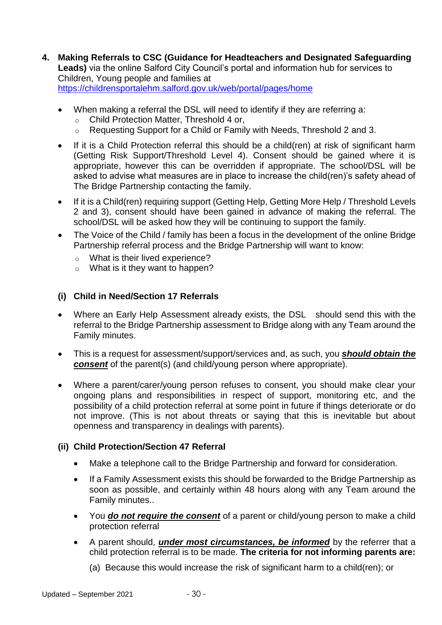- **4. Making Referrals to CSC (Guidance for Headteachers and Designated Safeguarding Leads)** via the online Salford City Council's portal and information hub for services to Children, Young people and families at <https://childrensportalehm.salford.gov.uk/web/portal/pages/home>
	- When making a referral the DSL will need to identify if they are referring a:
		- o Child Protection Matter, Threshold 4 or,
		- o Requesting Support for a Child or Family with Needs, Threshold 2 and 3.
	- If it is a Child Protection referral this should be a child(ren) at risk of significant harm (Getting Risk Support/Threshold Level 4). Consent should be gained where it is appropriate, however this can be overridden if appropriate. The school/DSL will be asked to advise what measures are in place to increase the child(ren)'s safety ahead of The Bridge Partnership contacting the family.
	- If it is a Child(ren) requiring support (Getting Help, Getting More Help / Threshold Levels 2 and 3), consent should have been gained in advance of making the referral. The school/DSL will be asked how they will be continuing to support the family.
	- The Voice of the Child / family has been a focus in the development of the online Bridge Partnership referral process and the Bridge Partnership will want to know:
		- o What is their lived experience?
		- $\circ$  What is it they want to happen?

#### **(i) Child in Need/Section 17 Referrals**

- Where an Early Help Assessment already exists, the DSL should send this with the referral to the Bridge Partnership assessment to Bridge along with any Team around the Family minutes.
- This is a request for assessment/support/services and, as such, you *should obtain the consent* of the parent(s) (and child/young person where appropriate).
- Where a parent/carer/young person refuses to consent, you should make clear your ongoing plans and responsibilities in respect of support, monitoring etc, and the possibility of a child protection referral at some point in future if things deteriorate or do not improve. (This is not about threats or saying that this is inevitable but about openness and transparency in dealings with parents).

#### **(ii) Child Protection/Section 47 Referral**

- Make a telephone call to the Bridge Partnership and forward for consideration.
- If a Family Assessment exists this should be forwarded to the Bridge Partnership as soon as possible, and certainly within 48 hours along with any Team around the Family minutes..
- You *do not require the consent* of a parent or child/young person to make a child protection referral
- A parent should, *under most circumstances, be informed* by the referrer that a child protection referral is to be made. **The criteria for not informing parents are:**
	- (a) Because this would increase the risk of significant harm to a child(ren); or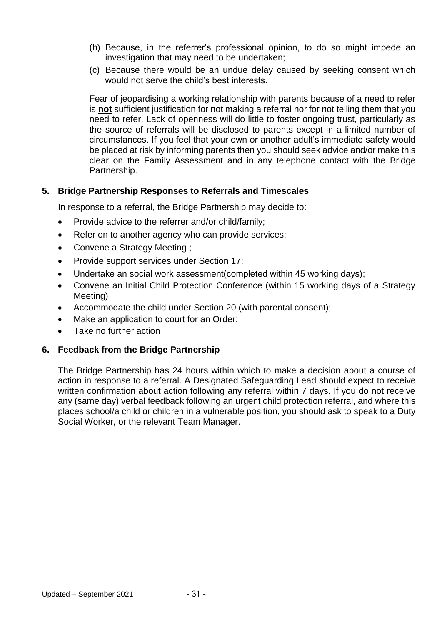- (b) Because, in the referrer's professional opinion, to do so might impede an investigation that may need to be undertaken;
- (c) Because there would be an undue delay caused by seeking consent which would not serve the child's best interests.

Fear of jeopardising a working relationship with parents because of a need to refer is **not** sufficient justification for not making a referral nor for not telling them that you need to refer. Lack of openness will do little to foster ongoing trust, particularly as the source of referrals will be disclosed to parents except in a limited number of circumstances. If you feel that your own or another adult's immediate safety would be placed at risk by informing parents then you should seek advice and/or make this clear on the Family Assessment and in any telephone contact with the Bridge Partnership.

#### **5. Bridge Partnership Responses to Referrals and Timescales**

In response to a referral, the Bridge Partnership may decide to:

- Provide advice to the referrer and/or child/family;
- Refer on to another agency who can provide services;
- Convene a Strategy Meeting ;
- Provide support services under Section 17;
- Undertake an social work assessment(completed within 45 working days);
- Convene an Initial Child Protection Conference (within 15 working days of a Strategy Meeting)
- Accommodate the child under Section 20 (with parental consent);
- Make an application to court for an Order;
- Take no further action

#### **6. Feedback from the Bridge Partnership**

The Bridge Partnership has 24 hours within which to make a decision about a course of action in response to a referral. A Designated Safeguarding Lead should expect to receive written confirmation about action following any referral within 7 days. If you do not receive any (same day) verbal feedback following an urgent child protection referral, and where this places school/a child or children in a vulnerable position, you should ask to speak to a Duty Social Worker, or the relevant Team Manager.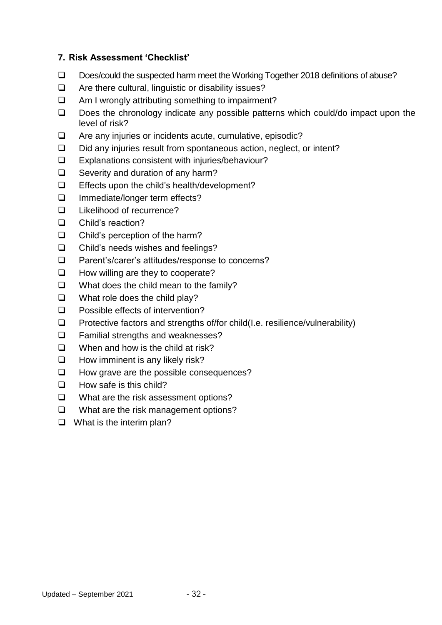#### **7. Risk Assessment 'Checklist'**

- ❑ Does/could the suspected harm meet the Working Together 2018 definitions of abuse?
- ❑ Are there cultural, linguistic or disability issues?
- ❑ Am I wrongly attributing something to impairment?
- ❑ Does the chronology indicate any possible patterns which could/do impact upon the level of risk?
- ❑ Are any injuries or incidents acute, cumulative, episodic?
- ❑ Did any injuries result from spontaneous action, neglect, or intent?
- ❑ Explanations consistent with injuries/behaviour?
- ❑ Severity and duration of any harm?
- ❑ Effects upon the child's health/development?
- ❑ Immediate/longer term effects?
- ❑ Likelihood of recurrence?
- ❑ Child's reaction?
- ❑ Child's perception of the harm?
- ❑ Child's needs wishes and feelings?
- ❑ Parent's/carer's attitudes/response to concerns?
- ❑ How willing are they to cooperate?
- ❑ What does the child mean to the family?
- ❑ What role does the child play?
- ❑ Possible effects of intervention?
- ❑ Protective factors and strengths of/for child(I.e. resilience/vulnerability)
- ❑ Familial strengths and weaknesses?
- ❑ When and how is the child at risk?
- ❑ How imminent is any likely risk?
- ❑ How grave are the possible consequences?
- ❑ How safe is this child?
- ❑ What are the risk assessment options?
- ❑ What are the risk management options?
- ❑ What is the interim plan?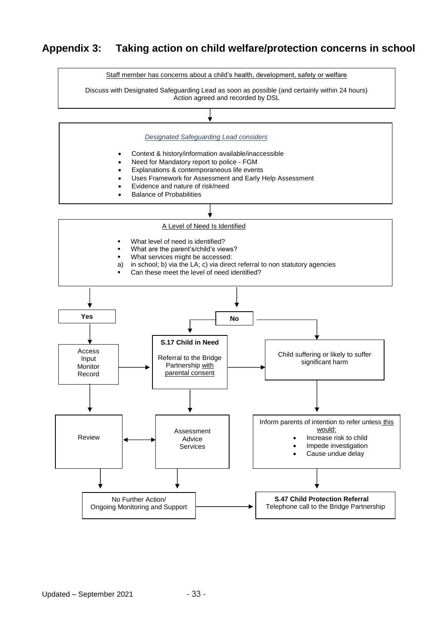## **Appendix 3: Taking action on child welfare/protection concerns in school**

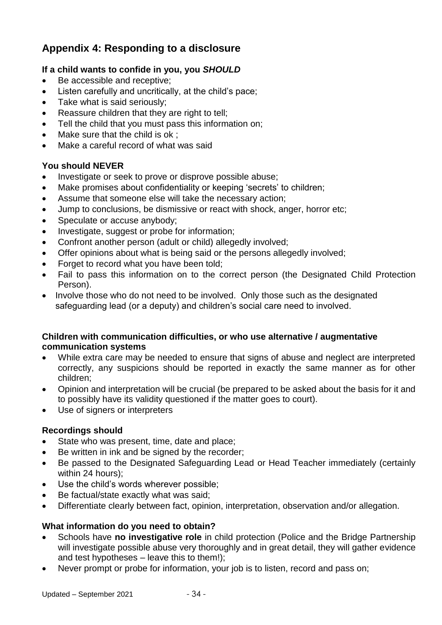## **Appendix 4: Responding to a disclosure**

### **If a child wants to confide in you, you** *SHOULD*

- Be accessible and receptive;
- Listen carefully and uncritically, at the child's pace;
- Take what is said seriously;
- Reassure children that they are right to tell;
- Tell the child that you must pass this information on;
- Make sure that the child is ok :
- Make a careful record of what was said

#### **You should NEVER**

- Investigate or seek to prove or disprove possible abuse;
- Make promises about confidentiality or keeping 'secrets' to children;
- Assume that someone else will take the necessary action;
- Jump to conclusions, be dismissive or react with shock, anger, horror etc;
- Speculate or accuse anybody:
- Investigate, suggest or probe for information;
- Confront another person (adult or child) allegedly involved;
- Offer opinions about what is being said or the persons allegedly involved;
- Forget to record what you have been told;
- Fail to pass this information on to the correct person (the Designated Child Protection Person).
- Involve those who do not need to be involved. Only those such as the designated safeguarding lead (or a deputy) and children's social care need to involved.

#### **Children with communication difficulties, or who use alternative / augmentative communication systems**

- While extra care may be needed to ensure that signs of abuse and neglect are interpreted correctly, any suspicions should be reported in exactly the same manner as for other children;
- Opinion and interpretation will be crucial (be prepared to be asked about the basis for it and to possibly have its validity questioned if the matter goes to court).
- Use of signers or interpreters

#### **Recordings should**

- State who was present, time, date and place;
- Be written in ink and be signed by the recorder;
- Be passed to the Designated Safeguarding Lead or Head Teacher immediately (certainly within 24 hours);
- Use the child's words wherever possible;
- Be factual/state exactly what was said;
- Differentiate clearly between fact, opinion, interpretation, observation and/or allegation.

#### **What information do you need to obtain?**

- Schools have **no investigative role** in child protection (Police and the Bridge Partnership will investigate possible abuse very thoroughly and in great detail, they will gather evidence and test hypotheses – leave this to them!);
- Never prompt or probe for information, your job is to listen, record and pass on;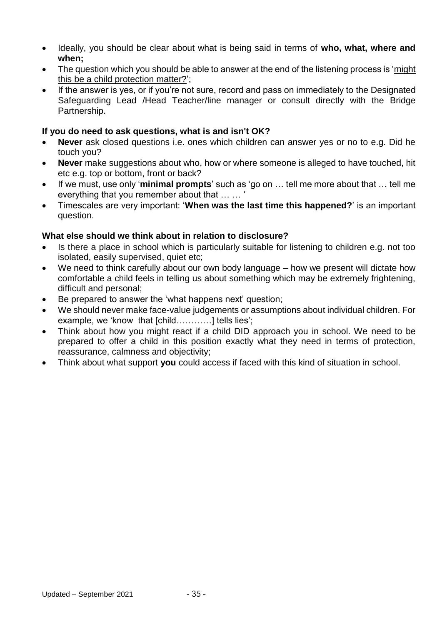- Ideally, you should be clear about what is being said in terms of **who, what, where and when;**
- The question which you should be able to answer at the end of the listening process is 'might this be a child protection matter?';
- If the answer is yes, or if you're not sure, record and pass on immediately to the Designated Safeguarding Lead /Head Teacher/line manager or consult directly with the Bridge Partnership.

#### **If you do need to ask questions, what is and isn't OK?**

- **Never** ask closed questions i.e. ones which children can answer yes or no to e.g. Did he touch you?
- **Never** make suggestions about who, how or where someone is alleged to have touched, hit etc e.g. top or bottom, front or back?
- If we must, use only '**minimal prompts**' such as 'go on … tell me more about that … tell me everything that you remember about that … … '
- Timescales are very important: '**When was the last time this happened?**' is an important question.

#### **What else should we think about in relation to disclosure?**

- Is there a place in school which is particularly suitable for listening to children e.g. not too isolated, easily supervised, quiet etc;
- We need to think carefully about our own body language how we present will dictate how comfortable a child feels in telling us about something which may be extremely frightening, difficult and personal;
- Be prepared to answer the 'what happens next' question;
- We should never make face-value judgements or assumptions about individual children. For example, we 'know that [child…………] tells lies';
- Think about how you might react if a child DID approach you in school. We need to be prepared to offer a child in this position exactly what they need in terms of protection, reassurance, calmness and objectivity;
- Think about what support **you** could access if faced with this kind of situation in school.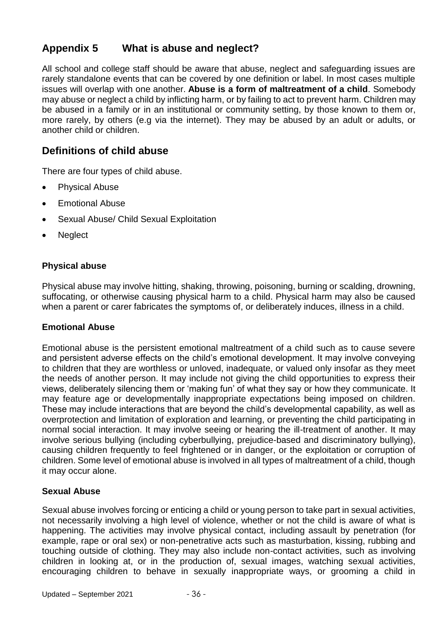## **Appendix 5 What is abuse and neglect?**

All school and college staff should be aware that abuse, neglect and safeguarding issues are rarely standalone events that can be covered by one definition or label. In most cases multiple issues will overlap with one another. **Abuse is a form of maltreatment of a child**. Somebody may abuse or neglect a child by inflicting harm, or by failing to act to prevent harm. Children may be abused in a family or in an institutional or community setting, by those known to them or, more rarely, by others (e.g via the internet). They may be abused by an adult or adults, or another child or children.

### **Definitions of child abuse**

There are four types of child abuse.

- Physical Abuse
- Emotional Abuse
- Sexual Abuse/ Child Sexual Exploitation
- **Neglect**

#### **Physical abuse**

Physical abuse may involve hitting, shaking, throwing, poisoning, burning or scalding, drowning, suffocating, or otherwise causing physical harm to a child. Physical harm may also be caused when a parent or carer fabricates the symptoms of, or deliberately induces, illness in a child.

#### **Emotional Abuse**

Emotional abuse is the persistent emotional maltreatment of a child such as to cause severe and persistent adverse effects on the child's emotional development. It may involve conveying to children that they are worthless or unloved, inadequate, or valued only insofar as they meet the needs of another person. It may include not giving the child opportunities to express their views, deliberately silencing them or 'making fun' of what they say or how they communicate. It may feature age or developmentally inappropriate expectations being imposed on children. These may include interactions that are beyond the child's developmental capability, as well as overprotection and limitation of exploration and learning, or preventing the child participating in normal social interaction. It may involve seeing or hearing the ill-treatment of another. It may involve serious bullying (including cyberbullying, prejudice-based and discriminatory bullying), causing children frequently to feel frightened or in danger, or the exploitation or corruption of children. Some level of emotional abuse is involved in all types of maltreatment of a child, though it may occur alone.

#### **Sexual Abuse**

Sexual abuse involves forcing or enticing a child or young person to take part in sexual activities, not necessarily involving a high level of violence, whether or not the child is aware of what is happening. The activities may involve physical contact, including assault by penetration (for example, rape or oral sex) or non-penetrative acts such as masturbation, kissing, rubbing and touching outside of clothing. They may also include non-contact activities, such as involving children in looking at, or in the production of, sexual images, watching sexual activities, encouraging children to behave in sexually inappropriate ways, or grooming a child in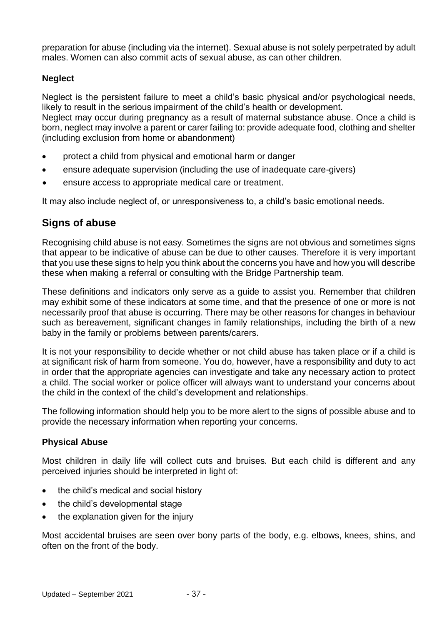preparation for abuse (including via the internet). Sexual abuse is not solely perpetrated by adult males. Women can also commit acts of sexual abuse, as can other children.

#### **Neglect**

Neglect is the persistent failure to meet a child's basic physical and/or psychological needs, likely to result in the serious impairment of the child's health or development.

Neglect may occur during pregnancy as a result of maternal substance abuse. Once a child is born, neglect may involve a parent or carer failing to: provide adequate food, clothing and shelter (including exclusion from home or abandonment)

- protect a child from physical and emotional harm or danger
- ensure adequate supervision (including the use of inadequate care-givers)
- ensure access to appropriate medical care or treatment.

It may also include neglect of, or unresponsiveness to, a child's basic emotional needs.

### **Signs of abuse**

Recognising child abuse is not easy. Sometimes the signs are not obvious and sometimes signs that appear to be indicative of abuse can be due to other causes. Therefore it is very important that you use these signs to help you think about the concerns you have and how you will describe these when making a referral or consulting with the Bridge Partnership team.

These definitions and indicators only serve as a guide to assist you. Remember that children may exhibit some of these indicators at some time, and that the presence of one or more is not necessarily proof that abuse is occurring. There may be other reasons for changes in behaviour such as bereavement, significant changes in family relationships, including the birth of a new baby in the family or problems between parents/carers.

It is not your responsibility to decide whether or not child abuse has taken place or if a child is at significant risk of harm from someone. You do, however, have a responsibility and duty to act in order that the appropriate agencies can investigate and take any necessary action to protect a child. The social worker or police officer will always want to understand your concerns about the child in the context of the child's development and relationships.

The following information should help you to be more alert to the signs of possible abuse and to provide the necessary information when reporting your concerns.

#### **Physical Abuse**

Most children in daily life will collect cuts and bruises. But each child is different and any perceived injuries should be interpreted in light of:

- the child's medical and social history
- the child's developmental stage
- the explanation given for the injury

Most accidental bruises are seen over bony parts of the body, e.g. elbows, knees, shins, and often on the front of the body.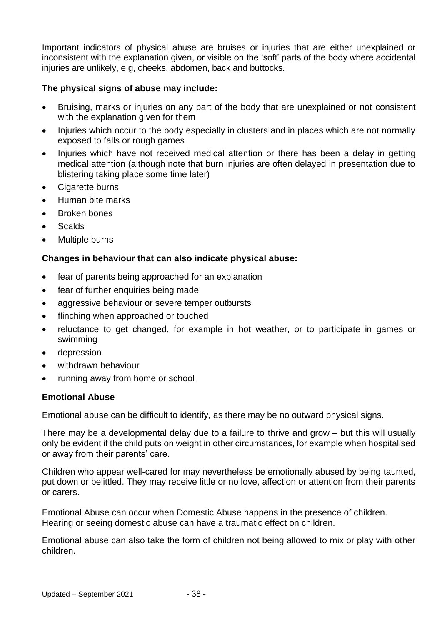Important indicators of physical abuse are bruises or injuries that are either unexplained or inconsistent with the explanation given, or visible on the 'soft' parts of the body where accidental injuries are unlikely, e g, cheeks, abdomen, back and buttocks.

#### **The physical signs of abuse may include:**

- Bruising, marks or injuries on any part of the body that are unexplained or not consistent with the explanation given for them
- Injuries which occur to the body especially in clusters and in places which are not normally exposed to falls or rough games
- Injuries which have not received medical attention or there has been a delay in getting medical attention (although note that burn injuries are often delayed in presentation due to blistering taking place some time later)
- Cigarette burns
- Human bite marks
- Broken bones
- Scalds
- Multiple burns

#### **Changes in behaviour that can also indicate physical abuse:**

- fear of parents being approached for an explanation
- fear of further enquiries being made
- aggressive behaviour or severe temper outbursts
- flinching when approached or touched
- reluctance to get changed, for example in hot weather, or to participate in games or swimming
- depression
- withdrawn behaviour
- running away from home or school

#### **Emotional Abuse**

Emotional abuse can be difficult to identify, as there may be no outward physical signs.

There may be a developmental delay due to a failure to thrive and grow – but this will usually only be evident if the child puts on weight in other circumstances, for example when hospitalised or away from their parents' care.

Children who appear well-cared for may nevertheless be emotionally abused by being taunted, put down or belittled. They may receive little or no love, affection or attention from their parents or carers.

Emotional Abuse can occur when Domestic Abuse happens in the presence of children. Hearing or seeing domestic abuse can have a traumatic effect on children.

Emotional abuse can also take the form of children not being allowed to mix or play with other children.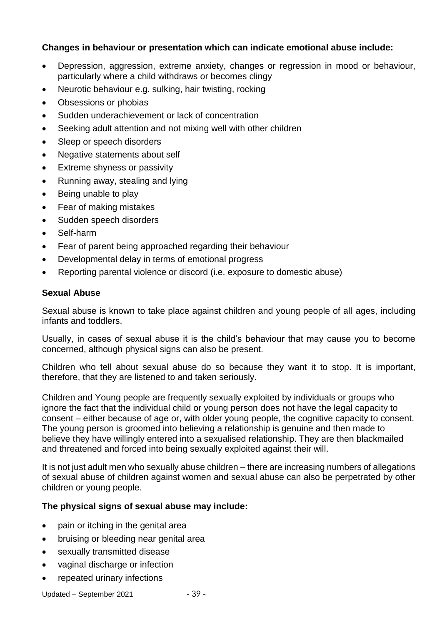#### **Changes in behaviour or presentation which can indicate emotional abuse include:**

- Depression, aggression, extreme anxiety, changes or regression in mood or behaviour, particularly where a child withdraws or becomes clingy
- Neurotic behaviour e.g. sulking, hair twisting, rocking
- Obsessions or phobias
- Sudden underachievement or lack of concentration
- Seeking adult attention and not mixing well with other children
- Sleep or speech disorders
- Negative statements about self
- Extreme shyness or passivity
- Running away, stealing and lying
- Being unable to play
- Fear of making mistakes
- Sudden speech disorders
- Self-harm
- Fear of parent being approached regarding their behaviour
- Developmental delay in terms of emotional progress
- Reporting parental violence or discord (i.e. exposure to domestic abuse)

#### **Sexual Abuse**

Sexual abuse is known to take place against children and young people of all ages, including infants and toddlers.

Usually, in cases of sexual abuse it is the child's behaviour that may cause you to become concerned, although physical signs can also be present.

Children who tell about sexual abuse do so because they want it to stop. It is important, therefore, that they are listened to and taken seriously.

Children and Young people are frequently sexually exploited by individuals or groups who ignore the fact that the individual child or young person does not have the legal capacity to consent – either because of age or, with older young people, the cognitive capacity to consent. The young person is groomed into believing a relationship is genuine and then made to believe they have willingly entered into a sexualised relationship. They are then blackmailed and threatened and forced into being sexually exploited against their will.

It is not just adult men who sexually abuse children – there are increasing numbers of allegations of sexual abuse of children against women and sexual abuse can also be perpetrated by other children or young people.

#### **The physical signs of sexual abuse may include:**

- pain or itching in the genital area
- bruising or bleeding near genital area
- sexually transmitted disease
- vaginal discharge or infection
- repeated urinary infections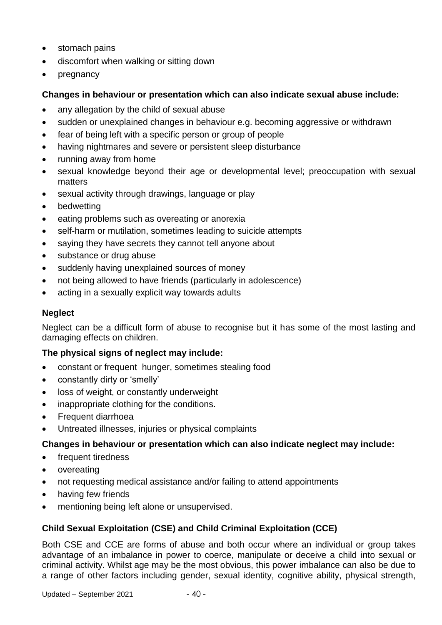- stomach pains
- discomfort when walking or sitting down
- pregnancy

#### **Changes in behaviour or presentation which can also indicate sexual abuse include:**

- any allegation by the child of sexual abuse
- sudden or unexplained changes in behaviour e.g. becoming aggressive or withdrawn
- fear of being left with a specific person or group of people
- having nightmares and severe or persistent sleep disturbance
- running away from home
- sexual knowledge beyond their age or developmental level; preoccupation with sexual matters
- sexual activity through drawings, language or play
- bedwetting
- eating problems such as overeating or anorexia
- self-harm or mutilation, sometimes leading to suicide attempts
- saying they have secrets they cannot tell anyone about
- substance or drug abuse
- suddenly having unexplained sources of money
- not being allowed to have friends (particularly in adolescence)
- acting in a sexually explicit way towards adults

#### **Neglect**

Neglect can be a difficult form of abuse to recognise but it has some of the most lasting and damaging effects on children.

#### **The physical signs of neglect may include:**

- constant or frequent hunger, sometimes stealing food
- constantly dirty or 'smelly'
- loss of weight, or constantly underweight
- inappropriate clothing for the conditions.
- Frequent diarrhoea
- Untreated illnesses, injuries or physical complaints

#### **Changes in behaviour or presentation which can also indicate neglect may include:**

- frequent tiredness
- overeating
- not requesting medical assistance and/or failing to attend appointments
- having few friends
- mentioning being left alone or unsupervised.

#### **Child Sexual Exploitation (CSE) and Child Criminal Exploitation (CCE)**

Both CSE and CCE are forms of abuse and both occur where an individual or group takes advantage of an imbalance in power to coerce, manipulate or deceive a child into sexual or criminal activity. Whilst age may be the most obvious, this power imbalance can also be due to a range of other factors including gender, sexual identity, cognitive ability, physical strength,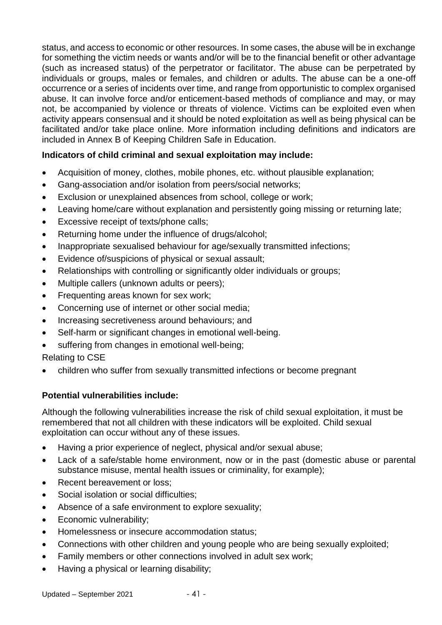status, and access to economic or other resources. In some cases, the abuse will be in exchange for something the victim needs or wants and/or will be to the financial benefit or other advantage (such as increased status) of the perpetrator or facilitator. The abuse can be perpetrated by individuals or groups, males or females, and children or adults. The abuse can be a one-off occurrence or a series of incidents over time, and range from opportunistic to complex organised abuse. It can involve force and/or enticement-based methods of compliance and may, or may not, be accompanied by violence or threats of violence. Victims can be exploited even when activity appears consensual and it should be noted exploitation as well as being physical can be facilitated and/or take place online. More information including definitions and indicators are included in Annex B of Keeping Children Safe in Education.

### **Indicators of child criminal and sexual exploitation may include:**

- Acquisition of money, clothes, mobile phones, etc. without plausible explanation;
- Gang-association and/or isolation from peers/social networks;
- Exclusion or unexplained absences from school, college or work;
- Leaving home/care without explanation and persistently going missing or returning late;
- Excessive receipt of texts/phone calls;
- Returning home under the influence of drugs/alcohol;
- Inappropriate sexualised behaviour for age/sexually transmitted infections;
- Evidence of/suspicions of physical or sexual assault;
- Relationships with controlling or significantly older individuals or groups;
- Multiple callers (unknown adults or peers);
- Frequenting areas known for sex work;
- Concerning use of internet or other social media;
- Increasing secretiveness around behaviours; and
- Self-harm or significant changes in emotional well-being.
- suffering from changes in emotional well-being;

#### Relating to CSE

• children who suffer from sexually transmitted infections or become pregnant

### **Potential vulnerabilities include:**

Although the following vulnerabilities increase the risk of child sexual exploitation, it must be remembered that not all children with these indicators will be exploited. Child sexual exploitation can occur without any of these issues.

- Having a prior experience of neglect, physical and/or sexual abuse;
- Lack of a safe/stable home environment, now or in the past (domestic abuse or parental substance misuse, mental health issues or criminality, for example);
- Recent bereavement or loss:
- Social isolation or social difficulties;
- Absence of a safe environment to explore sexuality;
- Economic vulnerability;
- Homelessness or insecure accommodation status;
- Connections with other children and young people who are being sexually exploited;
- Family members or other connections involved in adult sex work;
- Having a physical or learning disability;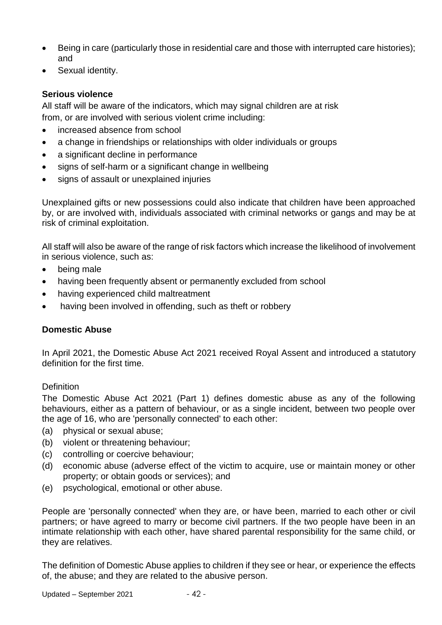- Being in care (particularly those in residential care and those with interrupted care histories); and
- Sexual identity.

#### **Serious violence**

All staff will be aware of the indicators, which may signal children are at risk from, or are involved with serious violent crime including:

- increased absence from school
- a change in friendships or relationships with older individuals or groups
- a significant decline in performance
- signs of self-harm or a significant change in wellbeing
- signs of assault or unexplained injuries

Unexplained gifts or new possessions could also indicate that children have been approached by, or are involved with, individuals associated with criminal networks or gangs and may be at risk of criminal exploitation.

All staff will also be aware of the range of risk factors which increase the likelihood of involvement in serious violence, such as:

- being male
- having been frequently absent or permanently excluded from school
- having experienced child maltreatment
- having been involved in offending, such as theft or robbery

#### **Domestic Abuse**

In April 2021, the Domestic Abuse Act 2021 received Royal Assent and introduced a statutory definition for the first time.

#### **Definition**

The Domestic Abuse Act 2021 (Part 1) defines domestic abuse as any of the following behaviours, either as a pattern of behaviour, or as a single incident, between two people over the age of 16, who are 'personally connected' to each other:

- (a) physical or sexual abuse;
- (b) violent or threatening behaviour;
- (c) controlling or coercive behaviour;
- (d) economic abuse (adverse effect of the victim to acquire, use or maintain money or other property; or obtain goods or services); and
- (e) psychological, emotional or other abuse.

People are 'personally connected' when they are, or have been, married to each other or civil partners; or have agreed to marry or become civil partners. If the two people have been in an intimate relationship with each other, have shared parental responsibility for the same child, or they are relatives.

The definition of Domestic Abuse applies to children if they see or hear, or experience the effects of, the abuse; and they are related to the abusive person.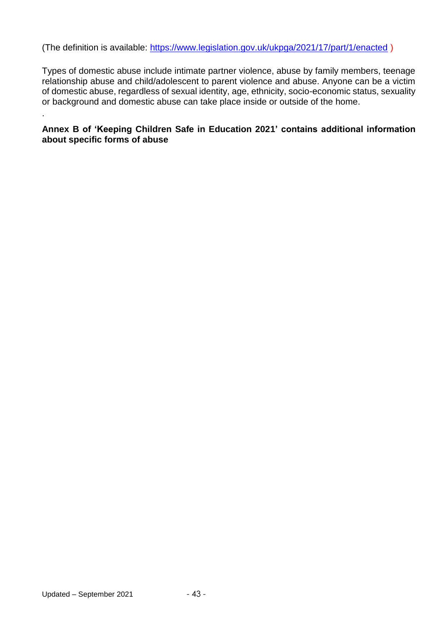(The definition is available: <https://www.legislation.gov.uk/ukpga/2021/17/part/1/enacted> )

Types of domestic abuse include intimate partner violence, abuse by family members, teenage relationship abuse and child/adolescent to parent violence and abuse. Anyone can be a victim of domestic abuse, regardless of sexual identity, age, ethnicity, socio-economic status, sexuality or background and domestic abuse can take place inside or outside of the home.

**Annex B of 'Keeping Children Safe in Education 2021' contains additional information about specific forms of abuse**

.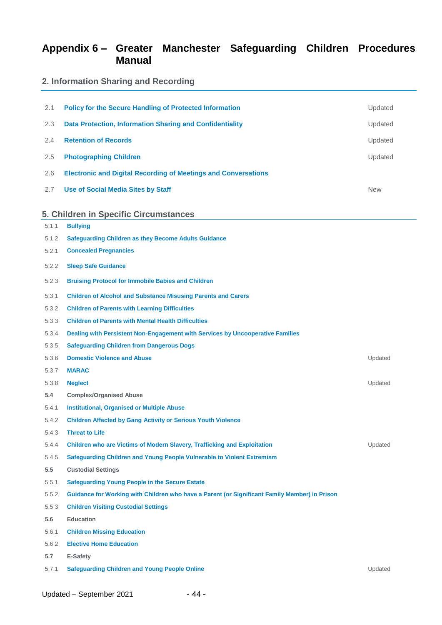## **Appendix 6 – Greater Manchester Safeguarding Children Procedures Manual**

|  | 2. Information Sharing and Recording |  |  |  |
|--|--------------------------------------|--|--|--|
|--|--------------------------------------|--|--|--|

| 2.1   | <b>Policy for the Secure Handling of Protected Information</b>                                | Updated    |
|-------|-----------------------------------------------------------------------------------------------|------------|
| 2.3   | <b>Data Protection, Information Sharing and Confidentiality</b>                               | Updated    |
| 2.4   | <b>Retention of Records</b>                                                                   | Updated    |
| 2.5   | <b>Photographing Children</b>                                                                 | Updated    |
| 2.6   | <b>Electronic and Digital Recording of Meetings and Conversations</b>                         |            |
| 2.7   | <b>Use of Social Media Sites by Staff</b>                                                     | <b>New</b> |
|       |                                                                                               |            |
|       | 5. Children in Specific Circumstances                                                         |            |
| 5.1.1 | <b>Bullying</b>                                                                               |            |
| 5.1.2 | <b>Safeguarding Children as they Become Adults Guidance</b>                                   |            |
| 5.2.1 | <b>Concealed Pregnancies</b>                                                                  |            |
| 5.2.2 | <b>Sleep Safe Guidance</b>                                                                    |            |
| 5.2.3 | <b>Bruising Protocol for Immobile Babies and Children</b>                                     |            |
| 5.3.1 | <b>Children of Alcohol and Substance Misusing Parents and Carers</b>                          |            |
| 5.3.2 | <b>Children of Parents with Learning Difficulties</b>                                         |            |
| 5.3.3 | <b>Children of Parents with Mental Health Difficulties</b>                                    |            |
| 5.3.4 | Dealing with Persistent Non-Engagement with Services by Uncooperative Families                |            |
| 5.3.5 | <b>Safeguarding Children from Dangerous Dogs</b>                                              |            |
| 5.3.6 | <b>Domestic Violence and Abuse</b>                                                            | Updated    |
| 5.3.7 | <b>MARAC</b>                                                                                  |            |
| 5.3.8 | <b>Neglect</b>                                                                                | Updated    |
| 5.4   | <b>Complex/Organised Abuse</b>                                                                |            |
| 5.4.1 | <b>Institutional, Organised or Multiple Abuse</b>                                             |            |
| 5.4.2 | <b>Children Affected by Gang Activity or Serious Youth Violence</b>                           |            |
| 5.4.3 | <b>Threat to Life</b>                                                                         |            |
| 5.4.4 | <b>Children who are Victims of Modern Slavery, Trafficking and Exploitation</b>               | Updated    |
| 5.4.5 | Safeguarding Children and Young People Vulnerable to Violent Extremism                        |            |
| 5.5   | <b>Custodial Settings</b>                                                                     |            |
| 5.5.1 | <b>Safeguarding Young People in the Secure Estate</b>                                         |            |
| 5.5.2 | Guidance for Working with Children who have a Parent (or Significant Family Member) in Prison |            |
| 5.5.3 | <b>Children Visiting Custodial Settings</b>                                                   |            |
| 5.6   | <b>Education</b>                                                                              |            |
| 5.6.1 | <b>Children Missing Education</b>                                                             |            |
| 5.6.2 | <b>Elective Home Education</b>                                                                |            |
| 5.7   | E-Safety                                                                                      |            |
| 5.7.1 | <b>Safeguarding Children and Young People Online</b>                                          | Updated    |
|       |                                                                                               |            |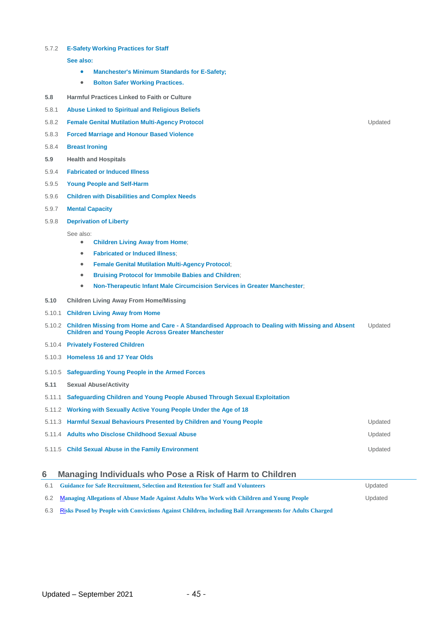#### 5.7.2 **[E-Safety Working Practices for Staff](https://greatermanchesterscb.proceduresonline.com/pdfs/e_safety.pdf)**

**See also:**

- **[Manchester's Minimum Standards for E-Safety;](http://www.manchestersafeguardingboards.co.uk/policies-resources/)**
- **[Bolton Safer Working Practices.](http://boltonsafeguardingchildren.org.uk/1342/)**
- **5.8 Harmful Practices Linked to Faith or Culture**
- 5.8.1 **[Abuse Linked to Spiritual and Religious Beliefs](https://greatermanchesterscb.proceduresonline.com/chapters/p_abuse_linked_spritual.html)**
- 5.8.2 **[Female Genital Mutilation Multi-Agency Protocol](https://greatermanchesterscb.proceduresonline.com/chapters/p_fgm.html)** Updated
- 5.8.3 **[Forced Marriage and Honour Based Violence](https://greatermanchesterscb.proceduresonline.com/chapters/p_force_marriage.html)**
- 5.8.4 **[Breast Ironing](https://greatermanchesterscb.proceduresonline.com/chapters/p_breast_ironing.html)**
- **5.9 Health and Hospitals**
- 5.9.4 **[Fabricated or Induced Illness](https://greatermanchesterscb.proceduresonline.com/chapters/p_fab_ind_illness.html)**
- 5.9.5 **[Young People and Self-Harm](https://greatermanchesterscb.proceduresonline.com/chapters/p_suicide_self_harm.html)**
- 5.9.6 **[Children with Disabilities and Complex Needs](https://greatermanchesterscb.proceduresonline.com/chapters/p_ch_with_disabilities.html)**
- 5.9.7 **[Mental Capacity](http://www.proceduresonline.com/resources/cs_mca/)**
- 5.9.8 **[Deprivation of Liberty](http://www.proceduresonline.com/resources/dols/index.html)**

See also:

- **[Children Living Away from Home](https://greatermanchesterscb.proceduresonline.com/chapters/p_ch_living_away_home.html)**;
- **[Fabricated or Induced Illness](https://greatermanchesterscb.proceduresonline.com/chapters/p_fab_ind_illness.html)**;
- **[Female Genital Mutilation Multi-Agency Protocol](https://greatermanchesterscb.proceduresonline.com/chapters/p_fgm.html)**;
- **[Bruising Protocol for Immobile Babies and Children](https://greatermanchesterscb.proceduresonline.com/chapters/pr_bruising_babies_child.html)**;
- **[Non-Therapeutic Infant Male Circumcision Services in Greater Manchester](http://www.gmsafeguardingchildren.co.uk/project/projectprojectprojectprojectnon-therapeutic-infant-male-circumcision-services-in-greater-manchester/)**;
- **5.10 Children Living Away From Home/Missing**
- 5.10.1 **[Children Living Away from Home](https://greatermanchesterscb.proceduresonline.com/chapters/p_ch_living_away_home.html)**
- 5.10.2 **Children Missing from Home and Care - [A Standardised Approach to Dealing with Missing and Absent](https://greatermanchesterscb.proceduresonline.com/chapters/p_ch_missing_home_care.html)  [Children and Young People Across Greater Manchester](https://greatermanchesterscb.proceduresonline.com/chapters/p_ch_missing_home_care.html)** Updated
- 5.10.4 **[Privately Fostered Children](https://greatermanchesterscb.proceduresonline.com/chapters/p_privately_fost_ch.html)**
- 5.10.3 **[Homeless 16 and 17 Year](https://greatermanchesterscb.proceduresonline.com/chapters/p_homless_16_17.html) Olds**
- 5.10.5 **[Safeguarding Young People in the Armed Forces](https://greatermanchesterscb.proceduresonline.com/chapters/p_sg_yp_armed_forces.html)**
- **5.11 Sexual Abuse/Activity**
- 5.11.1 **[Safeguarding Children and Young People Abused Through Sexual Exploitation](https://greatermanchesterscb.proceduresonline.com/chapters/p_sg_ab_sexual_exploit.html)**
- 5.11.2 **[Working with Sexually Active Young People Under the Age of 18](https://greatermanchesterscb.proceduresonline.com/chapters/p_work_sexually_act_yp.html)**

| 5.11.3 Harmful Sexual Behaviours Presented by Children and Young People | Updated |
|-------------------------------------------------------------------------|---------|
| 5.11.4 Adults who Disclose Childhood Sexual Abuse                       | Updated |
| 5.11.5 Child Sexual Abuse in the Family Environment                     | Updated |

#### **6 Managing Individuals who Pose a Risk of Harm to Children**

| 6.1 Guidance for Safe Recruitment, Selection and Retention for Staff and Volunteers           | Updated |
|-----------------------------------------------------------------------------------------------|---------|
| 6.2 Managing Allegations of Abuse Made Against Adults Who Work with Children and Young People | Updated |

6.3 Ri**[sks Posed by People with Convictions Against Children, including Bail Arrangements for Adults Charged](https://greatermanchesterscb.proceduresonline.com/chapters/p_risks_posed.html)**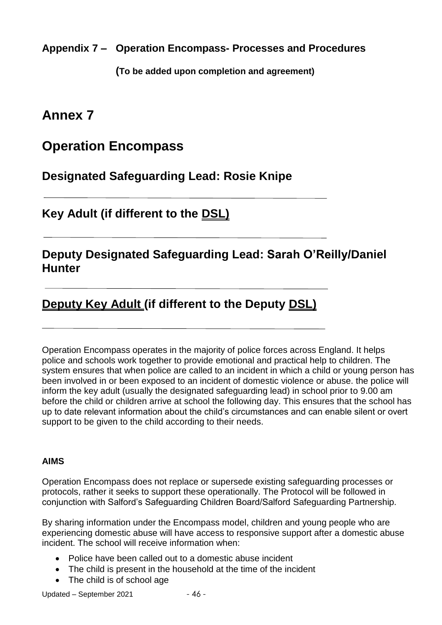**Appendix 7 – Operation Encompass- Processes and Procedures**

**(To be added upon completion and agreement)**

**Annex 7**

# **Operation Encompass**

**Designated Safeguarding Lead: Rosie Knipe**

**Key Adult (if different to the DSL)**

## **Deputy Designated Safeguarding Lead: Sarah O'Reilly/Daniel Hunter**

## **Deputy Key Adult (if different to the Deputy DSL)**

Operation Encompass operates in the majority of police forces across England. It helps police and schools work together to provide emotional and practical help to children. The system ensures that when police are called to an incident in which a child or young person has been involved in or been exposed to an incident of domestic violence or abuse. the police will inform the key adult (usually the designated safeguarding lead) in school prior to 9.00 am before the child or children arrive at school the following day. This ensures that the school has up to date relevant information about the child's circumstances and can enable silent or overt support to be given to the child according to their needs.

### **AIMS**

Operation Encompass does not replace or supersede existing safeguarding processes or protocols, rather it seeks to support these operationally. The Protocol will be followed in conjunction with Salford's Safeguarding Children Board/Salford Safeguarding Partnership.

By sharing information under the Encompass model, children and young people who are experiencing domestic abuse will have access to responsive support after a domestic abuse incident. The school will receive information when:

- Police have been called out to a domestic abuse incident
- The child is present in the household at the time of the incident
- The child is of school age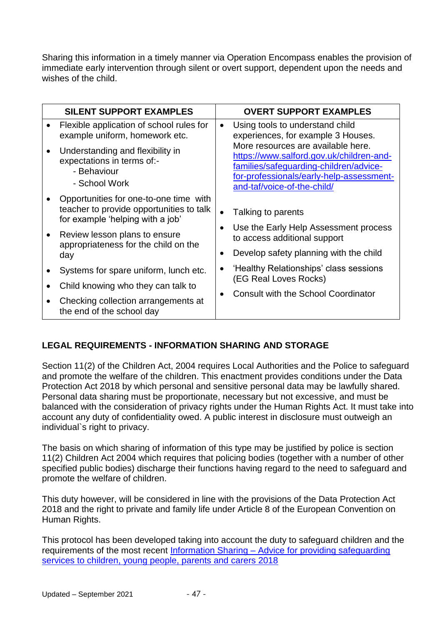Sharing this information in a timely manner via Operation Encompass enables the provision of immediate early intervention through silent or overt support, dependent upon the needs and wishes of the child.

| <b>SILENT SUPPORT EXAMPLES</b>                                                                                         |           | <b>OVERT SUPPORT EXAMPLES</b>                                                                                                                                                                       |
|------------------------------------------------------------------------------------------------------------------------|-----------|-----------------------------------------------------------------------------------------------------------------------------------------------------------------------------------------------------|
| Flexible application of school rules for<br>example uniform, homework etc.                                             | $\bullet$ | Using tools to understand child<br>experiences, for example 3 Houses.                                                                                                                               |
| Understanding and flexibility in<br>expectations in terms of:-<br>- Behaviour<br>- School Work                         |           | More resources are available here.<br>https://www.salford.gov.uk/children-and-<br>families/safeguarding-children/advice-<br>for-professionals/early-help-assessment-<br>and-taf/voice-of-the-child/ |
| Opportunities for one-to-one time with<br>teacher to provide opportunities to talk<br>for example 'helping with a job' | $\bullet$ | Talking to parents                                                                                                                                                                                  |
| Review lesson plans to ensure<br>appropriateness for the child on the                                                  | $\bullet$ | Use the Early Help Assessment process<br>to access additional support                                                                                                                               |
| day                                                                                                                    | $\bullet$ | Develop safety planning with the child                                                                                                                                                              |
| Systems for spare uniform, lunch etc.                                                                                  | $\bullet$ | 'Healthy Relationships' class sessions<br>(EG Real Loves Rocks)                                                                                                                                     |
| Child knowing who they can talk to                                                                                     |           |                                                                                                                                                                                                     |
| Checking collection arrangements at<br>the end of the school day                                                       |           | <b>Consult with the School Coordinator</b>                                                                                                                                                          |

### **LEGAL REQUIREMENTS - INFORMATION SHARING AND STORAGE**

Section 11(2) of the Children Act, 2004 requires Local Authorities and the Police to safeguard and promote the welfare of the children. This enactment provides conditions under the Data Protection Act 2018 by which personal and sensitive personal data may be lawfully shared. Personal data sharing must be proportionate, necessary but not excessive, and must be balanced with the consideration of privacy rights under the Human Rights Act. It must take into account any duty of confidentiality owed. A public interest in disclosure must outweigh an individual`s right to privacy.

The basis on which sharing of information of this type may be justified by police is section 11(2) Children Act 2004 which requires that policing bodies (together with a number of other specified public bodies) discharge their functions having regard to the need to safeguard and promote the welfare of children.

This duty however, will be considered in line with the provisions of the Data Protection Act 2018 and the right to private and family life under Article 8 of the European Convention on Human Rights.

This protocol has been developed taking into account the duty to safeguard children and the requirements of the most recent Information Sharing – [Advice for providing safeguarding](https://www.gov.uk/government/publications/safeguarding-practitioners-information-sharing-advice)  [services to children, young people, parents and carers 2018](https://www.gov.uk/government/publications/safeguarding-practitioners-information-sharing-advice)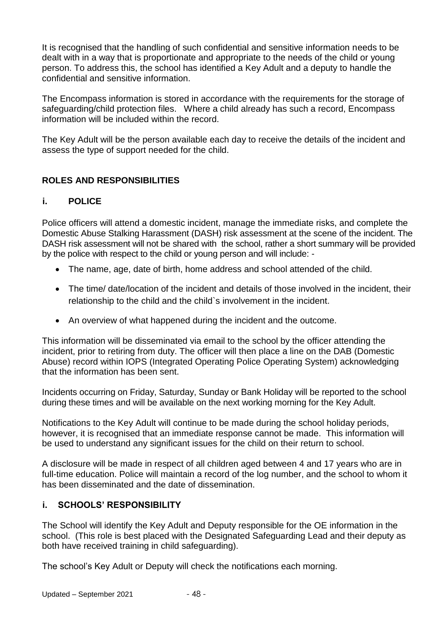It is recognised that the handling of such confidential and sensitive information needs to be dealt with in a way that is proportionate and appropriate to the needs of the child or young person. To address this, the school has identified a Key Adult and a deputy to handle the confidential and sensitive information.

The Encompass information is stored in accordance with the requirements for the storage of safeguarding/child protection files. Where a child already has such a record, Encompass information will be included within the record.

The Key Adult will be the person available each day to receive the details of the incident and assess the type of support needed for the child.

### **ROLES AND RESPONSIBILITIES**

### **i. POLICE**

Police officers will attend a domestic incident, manage the immediate risks, and complete the Domestic Abuse Stalking Harassment (DASH) risk assessment at the scene of the incident. The DASH risk assessment will not be shared with the school, rather a short summary will be provided by the police with respect to the child or young person and will include: -

- The name, age, date of birth, home address and school attended of the child.
- The time/ date/location of the incident and details of those involved in the incident, their relationship to the child and the child`s involvement in the incident.
- An overview of what happened during the incident and the outcome.

This information will be disseminated via email to the school by the officer attending the incident, prior to retiring from duty. The officer will then place a line on the DAB (Domestic Abuse) record within IOPS (Integrated Operating Police Operating System) acknowledging that the information has been sent.

Incidents occurring on Friday, Saturday, Sunday or Bank Holiday will be reported to the school during these times and will be available on the next working morning for the Key Adult.

Notifications to the Key Adult will continue to be made during the school holiday periods, however, it is recognised that an immediate response cannot be made. This information will be used to understand any significant issues for the child on their return to school.

A disclosure will be made in respect of all children aged between 4 and 17 years who are in full-time education. Police will maintain a record of the log number, and the school to whom it has been disseminated and the date of dissemination.

### **i. SCHOOLS' RESPONSIBILITY**

The School will identify the Key Adult and Deputy responsible for the OE information in the school. (This role is best placed with the Designated Safeguarding Lead and their deputy as both have received training in child safeguarding).

The school's Key Adult or Deputy will check the notifications each morning.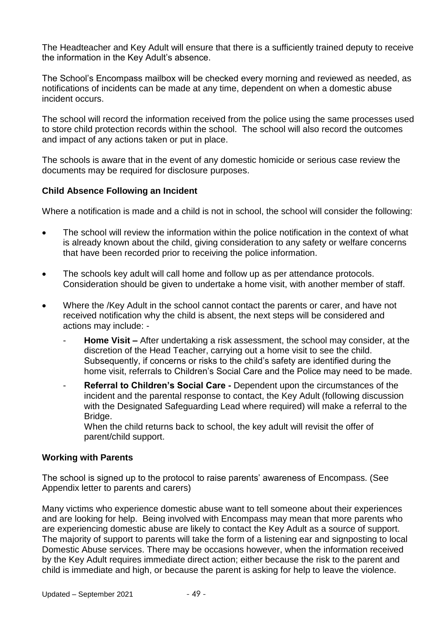The Headteacher and Key Adult will ensure that there is a sufficiently trained deputy to receive the information in the Key Adult's absence.

The School's Encompass mailbox will be checked every morning and reviewed as needed, as notifications of incidents can be made at any time, dependent on when a domestic abuse incident occurs.

The school will record the information received from the police using the same processes used to store child protection records within the school. The school will also record the outcomes and impact of any actions taken or put in place.

The schools is aware that in the event of any domestic homicide or serious case review the documents may be required for disclosure purposes.

#### **Child Absence Following an Incident**

Where a notification is made and a child is not in school, the school will consider the following:

- The school will review the information within the police notification in the context of what is already known about the child, giving consideration to any safety or welfare concerns that have been recorded prior to receiving the police information.
- The schools key adult will call home and follow up as per attendance protocols. Consideration should be given to undertake a home visit, with another member of staff.
- Where the /Key Adult in the school cannot contact the parents or carer, and have not received notification why the child is absent, the next steps will be considered and actions may include: -
	- **Home Visit –** After undertaking a risk assessment, the school may consider, at the discretion of the Head Teacher, carrying out a home visit to see the child. Subsequently, if concerns or risks to the child's safety are identified during the home visit, referrals to Children's Social Care and the Police may need to be made.
	- **Referral to Children's Social Care -** Dependent upon the circumstances of the incident and the parental response to contact, the Key Adult (following discussion with the Designated Safeguarding Lead where required) will make a referral to the Bridge.

When the child returns back to school, the key adult will revisit the offer of parent/child support.

#### **Working with Parents**

The school is signed up to the protocol to raise parents' awareness of Encompass. (See Appendix letter to parents and carers)

Many victims who experience domestic abuse want to tell someone about their experiences and are looking for help. Being involved with Encompass may mean that more parents who are experiencing domestic abuse are likely to contact the Key Adult as a source of support. The majority of support to parents will take the form of a listening ear and signposting to local Domestic Abuse services. There may be occasions however, when the information received by the Key Adult requires immediate direct action; either because the risk to the parent and child is immediate and high, or because the parent is asking for help to leave the violence.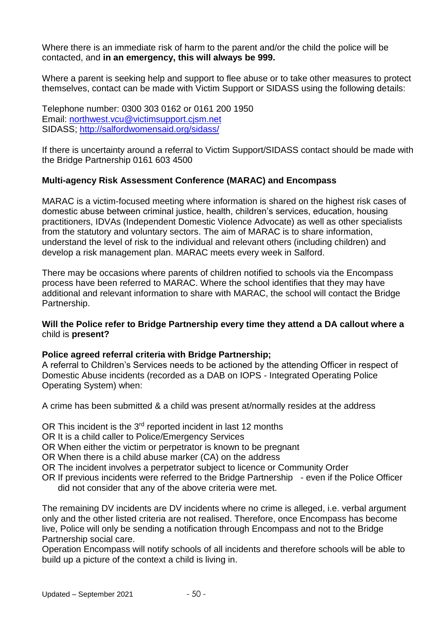Where there is an immediate risk of harm to the parent and/or the child the police will be contacted, and **in an emergency, this will always be 999.**

Where a parent is seeking help and support to flee abuse or to take other measures to protect themselves, contact can be made with Victim Support or SIDASS using the following details:

Telephone number: 0300 303 0162 or 0161 200 1950 Email: [northwest.vcu@victimsupport.cjsm.net](mailto:northwest.vcu@victimsupport.cjsm.net) SIDASS;<http://salfordwomensaid.org/sidass/>

If there is uncertainty around a referral to Victim Support/SIDASS contact should be made with the Bridge Partnership 0161 603 4500

#### **Multi-agency Risk Assessment Conference (MARAC) and Encompass**

MARAC is a victim-focused meeting where information is shared on the highest risk cases of domestic abuse between criminal justice, health, children's services, education, housing practitioners, IDVAs (Independent Domestic Violence Advocate) as well as other specialists from the statutory and voluntary sectors. The aim of MARAC is to share information, understand the level of risk to the individual and relevant others (including children) and develop a risk management plan. MARAC meets every week in Salford.

There may be occasions where parents of children notified to schools via the Encompass process have been referred to MARAC. Where the school identifies that they may have additional and relevant information to share with MARAC, the school will contact the Bridge Partnership.

#### **Will the Police refer to Bridge Partnership every time they attend a DA callout where a**  child is **present?**

#### **Police agreed referral criteria with Bridge Partnership;**

A referral to Children's Services needs to be actioned by the attending Officer in respect of Domestic Abuse incidents (recorded as a DAB on IOPS - Integrated Operating Police Operating System) when:

A crime has been submitted & a child was present at/normally resides at the address

OR This incident is the 3<sup>rd</sup> reported incident in last 12 months

OR It is a child caller to Police/Emergency Services

OR When either the victim or perpetrator is known to be pregnant

OR When there is a child abuse marker (CA) on the address

OR The incident involves a perpetrator subject to licence or Community Order

OR If previous incidents were referred to the Bridge Partnership - even if the Police Officer did not consider that any of the above criteria were met.

The remaining DV incidents are DV incidents where no crime is alleged, i.e. verbal argument only and the other listed criteria are not realised. Therefore, once Encompass has become live, Police will only be sending a notification through Encompass and not to the Bridge Partnership social care.

Operation Encompass will notify schools of all incidents and therefore schools will be able to build up a picture of the context a child is living in.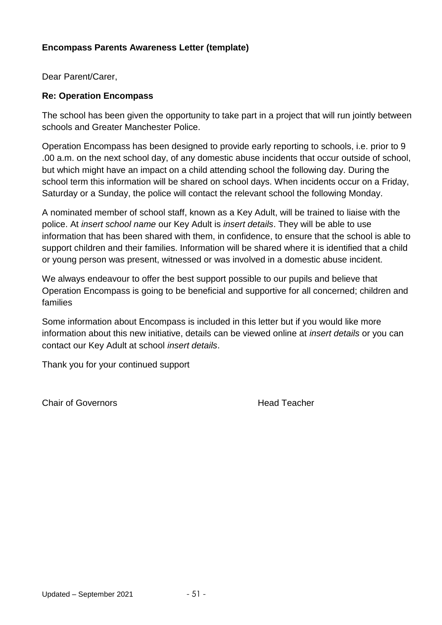#### **Encompass Parents Awareness Letter (template)**

Dear Parent/Carer,

#### **Re: Operation Encompass**

The school has been given the opportunity to take part in a project that will run jointly between schools and Greater Manchester Police.

Operation Encompass has been designed to provide early reporting to schools, i.e. prior to 9 .00 a.m. on the next school day, of any domestic abuse incidents that occur outside of school, but which might have an impact on a child attending school the following day. During the school term this information will be shared on school days. When incidents occur on a Friday, Saturday or a Sunday, the police will contact the relevant school the following Monday.

A nominated member of school staff, known as a Key Adult, will be trained to liaise with the police. At *insert school name* our Key Adult is *insert details*. They will be able to use information that has been shared with them, in confidence, to ensure that the school is able to support children and their families. Information will be shared where it is identified that a child or young person was present, witnessed or was involved in a domestic abuse incident.

We always endeavour to offer the best support possible to our pupils and believe that Operation Encompass is going to be beneficial and supportive for all concerned; children and families

Some information about Encompass is included in this letter but if you would like more information about this new initiative, details can be viewed online at *insert details* or you can contact our Key Adult at school *insert details*.

Thank you for your continued support

Chair of Governors **Head Teacher**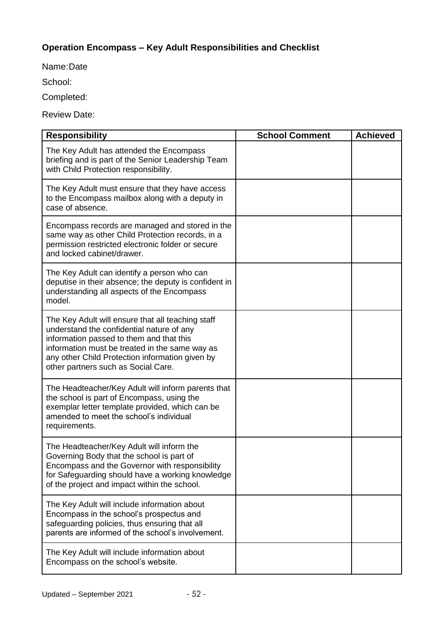## **Operation Encompass – Key Adult Responsibilities and Checklist**

Name:Date

School:

Completed:

Review Date:

| <b>Responsibility</b>                                                                                                                                                                                                                                                                  | <b>School Comment</b> | <b>Achieved</b> |
|----------------------------------------------------------------------------------------------------------------------------------------------------------------------------------------------------------------------------------------------------------------------------------------|-----------------------|-----------------|
| The Key Adult has attended the Encompass<br>briefing and is part of the Senior Leadership Team<br>with Child Protection responsibility.                                                                                                                                                |                       |                 |
| The Key Adult must ensure that they have access<br>to the Encompass mailbox along with a deputy in<br>case of absence.                                                                                                                                                                 |                       |                 |
| Encompass records are managed and stored in the<br>same way as other Child Protection records, in a<br>permission restricted electronic folder or secure<br>and locked cabinet/drawer.                                                                                                 |                       |                 |
| The Key Adult can identify a person who can<br>deputise in their absence; the deputy is confident in<br>understanding all aspects of the Encompass<br>model.                                                                                                                           |                       |                 |
| The Key Adult will ensure that all teaching staff<br>understand the confidential nature of any<br>information passed to them and that this<br>information must be treated in the same way as<br>any other Child Protection information given by<br>other partners such as Social Care. |                       |                 |
| The Headteacher/Key Adult will inform parents that<br>the school is part of Encompass, using the<br>exemplar letter template provided, which can be<br>amended to meet the school's individual<br>requirements.                                                                        |                       |                 |
| The Headteacher/Key Adult will inform the<br>Governing Body that the school is part of<br>Encompass and the Governor with responsibility<br>for Safeguarding should have a working knowledge<br>of the project and impact within the school.                                           |                       |                 |
| The Key Adult will include information about<br>Encompass in the school's prospectus and<br>safeguarding policies, thus ensuring that all<br>parents are informed of the school's involvement.                                                                                         |                       |                 |
| The Key Adult will include information about<br>Encompass on the school's website.                                                                                                                                                                                                     |                       |                 |